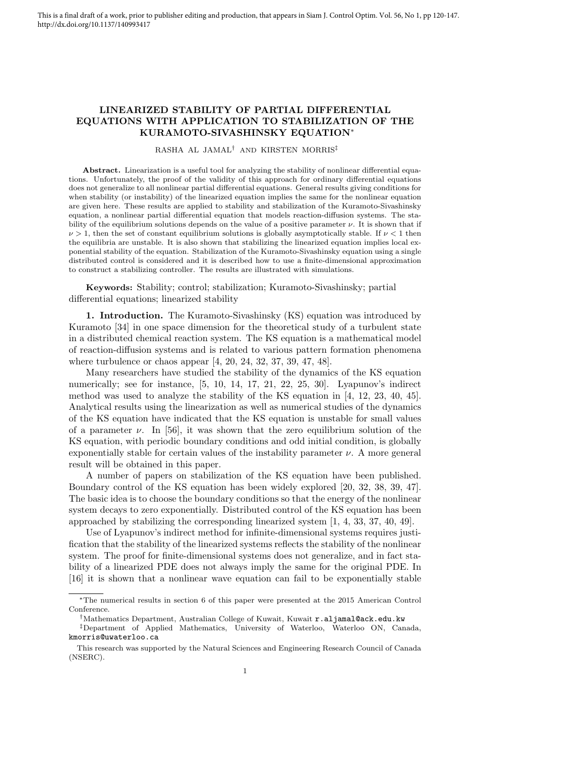## LINEARIZED STABILITY OF PARTIAL DIFFERENTIAL EQUATIONS WITH APPLICATION TO STABILIZATION OF THE KURAMOTO-SIVASHINSKY EQUATION<sup>∗</sup>

RASHA AL JAMAL† AND KIRSTEN MORRIS‡

Abstract. Linearization is a useful tool for analyzing the stability of nonlinear differential equations. Unfortunately, the proof of the validity of this approach for ordinary differential equations does not generalize to all nonlinear partial differential equations. General results giving conditions for when stability (or instability) of the linearized equation implies the same for the nonlinear equation are given here. These results are applied to stability and stabilization of the Kuramoto-Sivashinsky equation, a nonlinear partial differential equation that models reaction-diffusion systems. The stability of the equilibrium solutions depends on the value of a positive parameter  $\nu$ . It is shown that if  $\nu > 1$ , then the set of constant equilibrium solutions is globally asymptotically stable. If  $\nu < 1$  then the equilibria are unstable. It is also shown that stabilizing the linearized equation implies local exponential stability of the equation. Stabilization of the Kuramoto-Sivashinsky equation using a single distributed control is considered and it is described how to use a finite-dimensional approximation to construct a stabilizing controller. The results are illustrated with simulations.

Keywords: Stability; control; stabilization; Kuramoto-Sivashinsky; partial differential equations; linearized stability

1. Introduction. The Kuramoto-Sivashinsky (KS) equation was introduced by Kuramoto [34] in one space dimension for the theoretical study of a turbulent state in a distributed chemical reaction system. The KS equation is a mathematical model of reaction-diffusion systems and is related to various pattern formation phenomena where turbulence or chaos appear [4, 20, 24, 32, 37, 39, 47, 48].

Many researchers have studied the stability of the dynamics of the KS equation numerically; see for instance, [5, 10, 14, 17, 21, 22, 25, 30]. Lyapunov's indirect method was used to analyze the stability of the KS equation in [4, 12, 23, 40, 45]. Analytical results using the linearization as well as numerical studies of the dynamics of the KS equation have indicated that the KS equation is unstable for small values of a parameter  $\nu$ . In [56], it was shown that the zero equilibrium solution of the KS equation, with periodic boundary conditions and odd initial condition, is globally exponentially stable for certain values of the instability parameter  $\nu$ . A more general result will be obtained in this paper.

A number of papers on stabilization of the KS equation have been published. Boundary control of the KS equation has been widely explored [20, 32, 38, 39, 47]. The basic idea is to choose the boundary conditions so that the energy of the nonlinear system decays to zero exponentially. Distributed control of the KS equation has been approached by stabilizing the corresponding linearized system [1, 4, 33, 37, 40, 49].

Use of Lyapunov's indirect method for infinite-dimensional systems requires justification that the stability of the linearized systems reflects the stability of the nonlinear system. The proof for finite-dimensional systems does not generalize, and in fact stability of a linearized PDE does not always imply the same for the original PDE. In [16] it is shown that a nonlinear wave equation can fail to be exponentially stable

<sup>∗</sup>The numerical results in section 6 of this paper were presented at the 2015 American Control Conference.

<sup>†</sup>Mathematics Department, Australian College of Kuwait, Kuwait r.aljamal@ack.edu.kw

<sup>‡</sup>Department of Applied Mathematics, University of Waterloo, Waterloo ON, Canada, kmorris@uwaterloo.ca

This research was supported by the Natural Sciences and Engineering Research Council of Canada (NSERC).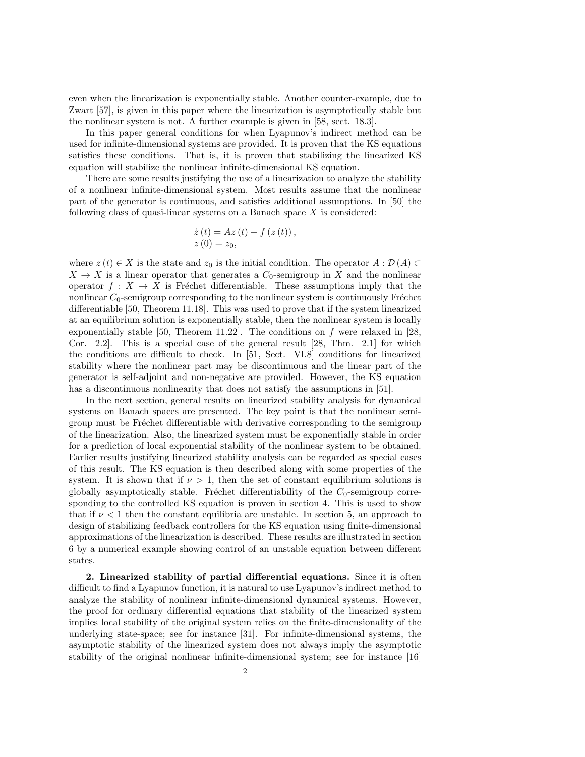even when the linearization is exponentially stable. Another counter-example, due to Zwart [57], is given in this paper where the linearization is asymptotically stable but the nonlinear system is not. A further example is given in [58, sect. 18.3].

In this paper general conditions for when Lyapunov's indirect method can be used for infinite-dimensional systems are provided. It is proven that the KS equations satisfies these conditions. That is, it is proven that stabilizing the linearized KS equation will stabilize the nonlinear infinite-dimensional KS equation.

There are some results justifying the use of a linearization to analyze the stability of a nonlinear infinite-dimensional system. Most results assume that the nonlinear part of the generator is continuous, and satisfies additional assumptions. In [50] the following class of quasi-linear systems on a Banach space  $X$  is considered:

$$
\dot{z}(t) = Az(t) + f(z(t)), \n z(0) = z_0,
$$

where  $z(t) \in X$  is the state and  $z_0$  is the initial condition. The operator  $A : \mathcal{D}(A) \subset$  $X \to X$  is a linear operator that generates a  $C_0$ -semigroup in X and the nonlinear operator  $f: X \to X$  is Fréchet differentiable. These assumptions imply that the nonlinear  $C_0$ -semigroup corresponding to the nonlinear system is continuously Fréchet differentiable [50, Theorem 11.18]. This was used to prove that if the system linearized at an equilibrium solution is exponentially stable, then the nonlinear system is locally exponentially stable [50, Theorem 11.22]. The conditions on  $f$  were relaxed in [28, Cor. 2.2]. This is a special case of the general result [28, Thm. 2.1] for which the conditions are difficult to check. In [51, Sect. VI.8] conditions for linearized stability where the nonlinear part may be discontinuous and the linear part of the generator is self-adjoint and non-negative are provided. However, the KS equation has a discontinuous nonlinearity that does not satisfy the assumptions in [51].

In the next section, general results on linearized stability analysis for dynamical systems on Banach spaces are presented. The key point is that the nonlinear semigroup must be Fréchet differentiable with derivative corresponding to the semigroup of the linearization. Also, the linearized system must be exponentially stable in order for a prediction of local exponential stability of the nonlinear system to be obtained. Earlier results justifying linearized stability analysis can be regarded as special cases of this result. The KS equation is then described along with some properties of the system. It is shown that if  $\nu > 1$ , then the set of constant equilibrium solutions is globally asymptotically stable. Fréchet differentiability of the  $C_0$ -semigroup corresponding to the controlled KS equation is proven in section 4. This is used to show that if  $\nu < 1$  then the constant equilibria are unstable. In section 5, an approach to design of stabilizing feedback controllers for the KS equation using finite-dimensional approximations of the linearization is described. These results are illustrated in section 6 by a numerical example showing control of an unstable equation between different states.

2. Linearized stability of partial differential equations. Since it is often difficult to find a Lyapunov function, it is natural to use Lyapunov's indirect method to analyze the stability of nonlinear infinite-dimensional dynamical systems. However, the proof for ordinary differential equations that stability of the linearized system implies local stability of the original system relies on the finite-dimensionality of the underlying state-space; see for instance [31]. For infinite-dimensional systems, the asymptotic stability of the linearized system does not always imply the asymptotic stability of the original nonlinear infinite-dimensional system; see for instance [16]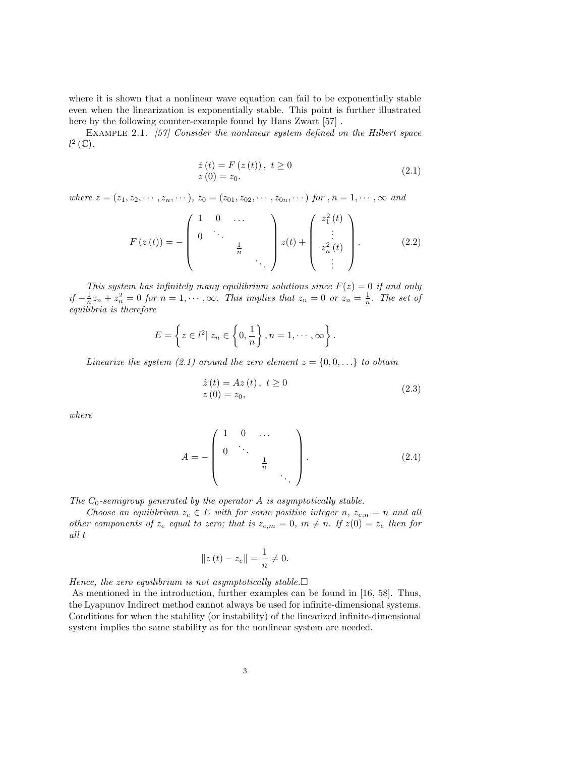where it is shown that a nonlinear wave equation can fail to be exponentially stable even when the linearization is exponentially stable. This point is further illustrated here by the following counter-example found by Hans Zwart [57] .

EXAMPLE 2.1. [57] Consider the nonlinear system defined on the Hilbert space  $l^2$  (C).

$$
\begin{aligned} \dot{z}(t) &= F\left(z\left(t\right)\right), \ t \ge 0\\ z\left(0\right) &= z_0. \end{aligned} \tag{2.1}
$$

where  $z = (z_1, z_2, \dots, z_n, \dots), z_0 = (z_{01}, z_{02}, \dots, z_{0n}, \dots)$  for  $,n = 1, \dots, \infty$  and

$$
F(z(t)) = -\begin{pmatrix} 1 & 0 & \dots & & \\ 0 & \ddots & & & \\ & & \frac{1}{n} & & \\ & & & \ddots & \\ & & & & \end{pmatrix} z(t) + \begin{pmatrix} z_1^2(t) \\ \vdots \\ z_n^2(t) \\ \vdots \end{pmatrix}.
$$
 (2.2)

This system has infinitely many equilibrium solutions since  $F(z) = 0$  if and only  $if -\frac{1}{n}z_n + z_n^2 = 0$  for  $n = 1, \dots, \infty$ . This implies that  $z_n = 0$  or  $z_n = \frac{1}{n}$ . The set of equilibria is therefore

$$
E = \left\{ z \in l^2 | z_n \in \left\{0, \frac{1}{n}\right\}, n = 1, \cdots, \infty \right\}.
$$

Linearize the system (2.1) around the zero element  $z = \{0, 0, ...\}$  to obtain

$$
\begin{aligned} \dot{z}(t) &= Az(t), \ t \ge 0\\ z(0) &= z_0, \end{aligned} \tag{2.3}
$$

where

$$
A = -\begin{pmatrix} 1 & 0 & \dots & & \\ 0 & \ddots & & & \\ & & & \frac{1}{n} & & \\ & & & & \ddots \end{pmatrix} . \tag{2.4}
$$

The  $C_0$ -semigroup generated by the operator A is asymptotically stable.

Choose an equilibrium  $z_e \in E$  with for some positive integer n,  $z_{e,n} = n$  and all other components of  $z_e$  equal to zero; that is  $z_{e,m} = 0$ ,  $m \neq n$ . If  $z(0) = z_e$  then for all t

$$
||z(t) - z_e|| = \frac{1}{n} \neq 0.
$$

Hence, the zero equilibrium is not asymptotically stable.  $\Box$ 

As mentioned in the introduction, further examples can be found in [16, 58]. Thus, the Lyapunov Indirect method cannot always be used for infinite-dimensional systems. Conditions for when the stability (or instability) of the linearized infinite-dimensional system implies the same stability as for the nonlinear system are needed.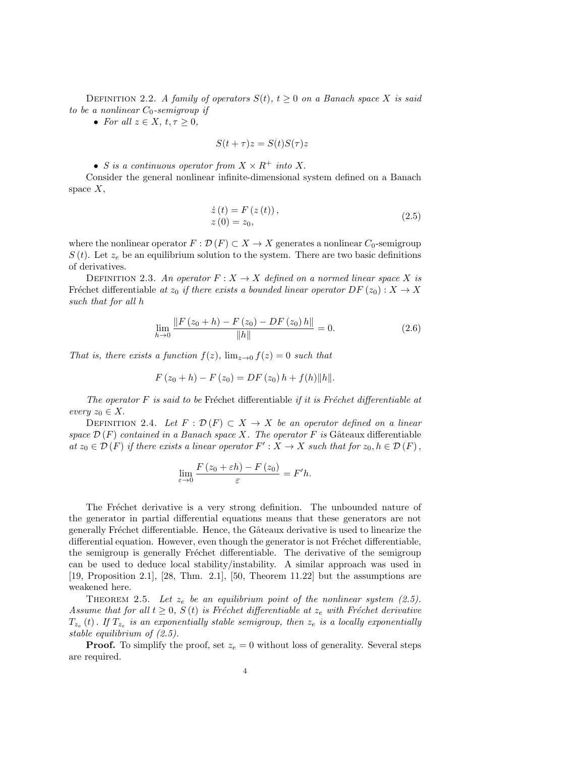DEFINITION 2.2. A family of operators  $S(t)$ ,  $t \geq 0$  on a Banach space X is said to be a nonlinear  $C_0$ -semigroup if

• For all  $z \in X$ ,  $t, \tau \geq 0$ ,

$$
S(t+\tau)z = S(t)S(\tau)z
$$

• S is a continuous operator from  $X \times R^+$  into X.

Consider the general nonlinear infinite-dimensional system defined on a Banach space  $X$ ,

$$
\begin{aligned} \dot{z}(t) &= F\left(z\left(t\right)\right), \\ z\left(0\right) &= z_0, \end{aligned} \tag{2.5}
$$

where the nonlinear operator  $F : \mathcal{D}(F) \subset X \to X$  generates a nonlinear  $C_0$ -semigroup  $S(t)$ . Let  $z_e$  be an equilibrium solution to the system. There are two basic definitions of derivatives.

DEFINITION 2.3. An operator  $F: X \to X$  defined on a normed linear space X is Fréchet differentiable at  $z_0$  if there exists a bounded linear operator  $DF(z_0) : X \to X$ such that for all h

$$
\lim_{h \to 0} \frac{\|F(z_0 + h) - F(z_0) - DF(z_0)h\|}{\|h\|} = 0.
$$
\n(2.6)

That is, there exists a function  $f(z)$ ,  $\lim_{z\to 0} f(z) = 0$  such that

$$
F(z_0 + h) - F(z_0) = DF(z_0) h + f(h) ||h||.
$$

The operator  $F$  is said to be Fréchet differentiable if it is Fréchet differentiable at every  $z_0 \in X$ .

DEFINITION 2.4. Let  $F : \mathcal{D}(F) \subset X \to X$  be an operator defined on a linear space  $\mathcal{D}(F)$  contained in a Banach space X. The operator F is Gâteaux differentiable at  $z_0 \in \mathcal{D}(F)$  if there exists a linear operator  $F': X \to X$  such that for  $z_0, h \in \mathcal{D}(F)$ ,

$$
\lim_{\varepsilon \to 0} \frac{F(z_0 + \varepsilon h) - F(z_0)}{\varepsilon} = F'h.
$$

The Fréchet derivative is a very strong definition. The unbounded nature of the generator in partial differential equations means that these generators are not generally Fréchet differentiable. Hence, the Gâteaux derivative is used to linearize the differential equation. However, even though the generator is not Fréchet differentiable, the semigroup is generally Fréchet differentiable. The derivative of the semigroup can be used to deduce local stability/instability. A similar approach was used in [19, Proposition 2.1], [28, Thm. 2.1], [50, Theorem 11.22] but the assumptions are weakened here.

THEOREM 2.5. Let  $z_e$  be an equilibrium point of the nonlinear system (2.5). Assume that for all  $t \geq 0$ ,  $S(t)$  is Fréchet differentiable at  $z_e$  with Fréchet derivative  $T_{z_e}\left(t\right)$  . If  $T_{z_e}$  is an exponentially stable semigroup, then  $z_e$  is a locally exponentially stable equilibrium of (2.5).

**Proof.** To simplify the proof, set  $z_e = 0$  without loss of generality. Several steps are required.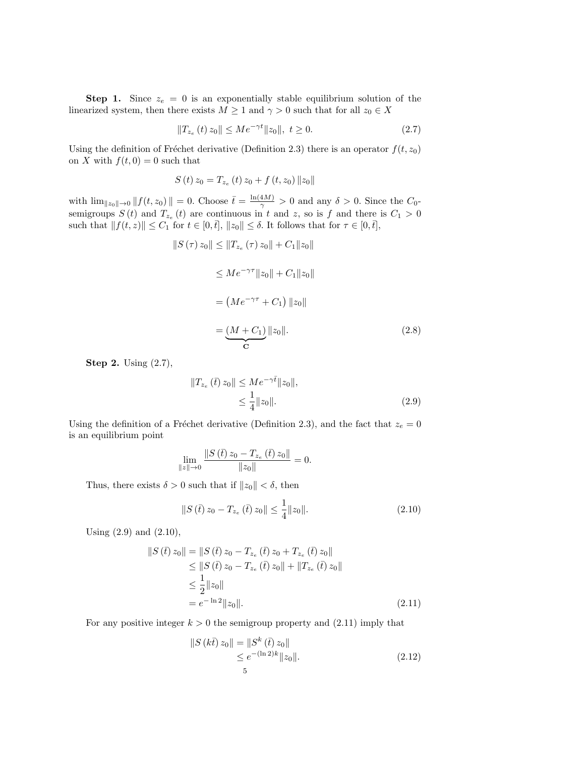**Step 1.** Since  $z_e = 0$  is an exponentially stable equilibrium solution of the linearized system, then there exists  $M \geq 1$  and  $\gamma > 0$  such that for all  $z_0 \in X$ 

$$
||T_{z_e}(t) z_0|| \le Me^{-\gamma t} ||z_0||, \ t \ge 0. \tag{2.7}
$$

Using the definition of Fréchet derivative (Definition 2.3) there is an operator  $f(t, z_0)$ on X with  $f(t, 0) = 0$  such that

$$
S(t) z_0 = T_{z_e}(t) z_0 + f(t, z_0) ||z_0||
$$

with  $\lim_{\|z_0\| \to 0} \|f(t, z_0)\| = 0$ . Choose  $\bar{t} = \frac{\ln(4M)}{\gamma} > 0$  and any  $\delta > 0$ . Since the  $C_0$ semigroups  $S(t)$  and  $T_{z_e}(t)$  are continuous in t and z, so is f and there is  $C_1 > 0$ such that  $|| f(t, z) || \leq C_1$  for  $t \in [0, \bar{t}], ||z_0|| \leq \delta$ . It follows that for  $\tau \in [0, \bar{t}],$ 

$$
||S(\tau) z_0|| \le ||T_{z_e}(\tau) z_0|| + C_1 ||z_0||
$$
  
\n
$$
\le Me^{-\gamma \tau} ||z_0|| + C_1 ||z_0||
$$
  
\n
$$
= (Me^{-\gamma \tau} + C_1) ||z_0||
$$
  
\n
$$
= \underbrace{(M + C_1)}_{\mathbf{C}} ||z_0||. \tag{2.8}
$$

Step 2. Using (2.7),

$$
||T_{z_e}(\bar{t}) z_0|| \le Me^{-\gamma \bar{t}} ||z_0||,
$$
  

$$
\le \frac{1}{4} ||z_0||.
$$
 (2.9)

Using the definition of a Fréchet derivative (Definition 2.3), and the fact that  $z_e = 0$ is an equilibrium point

$$
\lim_{\|z\|\to 0} \frac{\|S(\bar{t}) z_0 - T_{z_e}(\bar{t}) z_0\|}{\|z_0\|} = 0.
$$

Thus, there exists  $\delta > 0$  such that if  $||z_0|| < \delta$ , then

$$
||S(\bar{t}) z_0 - T_{z_e}(\bar{t}) z_0|| \le \frac{1}{4} ||z_0||. \tag{2.10}
$$

Using (2.9) and (2.10),

$$
\|S(\bar{t}) z_0\| = \|S(\bar{t}) z_0 - T_{z_e}(\bar{t}) z_0 + T_{z_e}(\bar{t}) z_0\|
$$
  
\n
$$
\leq \|S(\bar{t}) z_0 - T_{z_e}(\bar{t}) z_0\| + \|T_{z_e}(\bar{t}) z_0\|
$$
  
\n
$$
\leq \frac{1}{2} \|z_0\|
$$
  
\n
$$
= e^{-\ln 2} \|z_0\|.
$$
\n(2.11)

For any positive integer  $k > 0$  the semigroup property and  $(2.11)$  imply that

$$
||S (k\bar{t}) z_0|| = ||S^k (\bar{t}) z_0||
$$
  
\n
$$
\leq e^{-(\ln 2)k} ||z_0||.
$$
\n(2.12)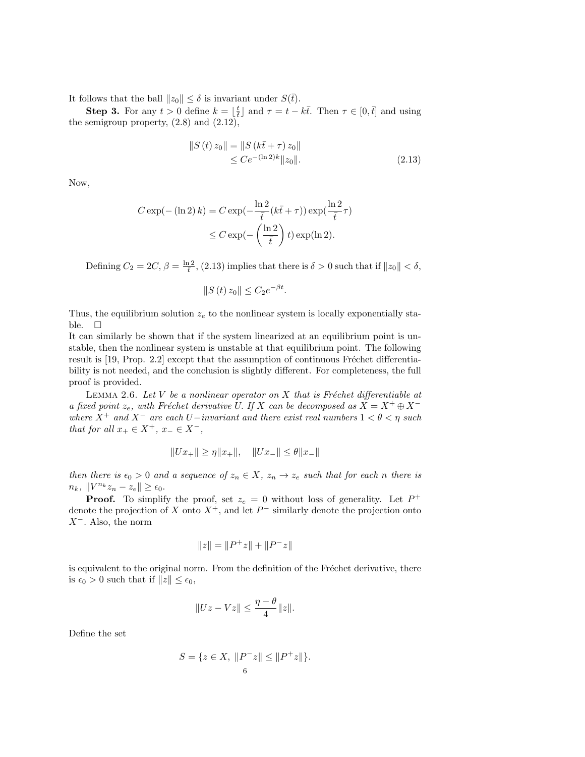It follows that the ball  $||z_0|| \leq \delta$  is invariant under  $S(\bar{t})$ .

**Step 3.** For any  $t > 0$  define  $k = \lfloor \frac{t}{t} \rfloor$  and  $\tau = t - k\bar{t}$ . Then  $\tau \in [0, \bar{t}]$  and using the semigroup property,  $(2.8)$  and  $(2.12)$ ,

$$
||S(t) z_0|| = ||S(k\bar{t} + \tau) z_0||
$$
  
\n
$$
\leq C e^{-(\ln 2)k} ||z_0||.
$$
 (2.13)

Now,

$$
C \exp(- (\ln 2) k) = C \exp(-\frac{\ln 2}{\bar{t}} (k\bar{t} + \tau)) \exp(\frac{\ln 2}{\bar{t}} \tau)
$$
  

$$
\leq C \exp(-\left(\frac{\ln 2}{\bar{t}}\right) t) \exp(\ln 2).
$$

Defining  $C_2 = 2C$ ,  $\beta = \frac{\ln 2}{t}$ , (2.13) implies that there is  $\delta > 0$  such that if  $||z_0|| < \delta$ ,

$$
||S(t) z_0|| \leq C_2 e^{-\beta t}.
$$

Thus, the equilibrium solution  $z_e$  to the nonlinear system is locally exponentially stable.  $\square$ 

It can similarly be shown that if the system linearized at an equilibrium point is unstable, then the nonlinear system is unstable at that equilibrium point. The following result is  $[19, Prop. 2.2]$  except that the assumption of continuous Fréchet differentiability is not needed, and the conclusion is slightly different. For completeness, the full proof is provided.

LEMMA 2.6. Let  $V$  be a nonlinear operator on  $X$  that is Fréchet differentiable at a fixed point  $z_e$ , with Fréchet derivative U. If X can be decomposed as  $X = X^+ \oplus X^$ where  $X^+$  and  $X^-$  are each U−invariant and there exist real numbers  $1 < \theta < \eta$  such that for all  $x_+ \in X^+$ ,  $x_- \in X^-$ ,

$$
||Ux_+|| \ge \eta ||x_+||, \quad ||Ux_-|| \le \theta ||x_-||
$$

then there is  $\epsilon_0 > 0$  and a sequence of  $z_n \in X$ ,  $z_n \to z_e$  such that for each n there is  $n_k, \|V^{n_k}z_n - z_e\| \geq \epsilon_0.$ 

**Proof.** To simplify the proof, set  $z_e = 0$  without loss of generality. Let  $P^+$ denote the projection of X onto  $X^+$ , and let  $P^-$  similarly denote the projection onto  $X^-$ . Also, the norm

$$
||z|| = ||P^+z|| + ||P^-z||
$$

is equivalent to the original norm. From the definition of the Fréchet derivative, there is  $\epsilon_0 > 0$  such that if  $||z|| \leq \epsilon_0$ ,

$$
||Uz - Vz|| \le \frac{\eta - \theta}{4} ||z||.
$$

Define the set

$$
S = \{ z \in X, \|P^{-}z\| \le \|P^{+}z\| \}.
$$
  
6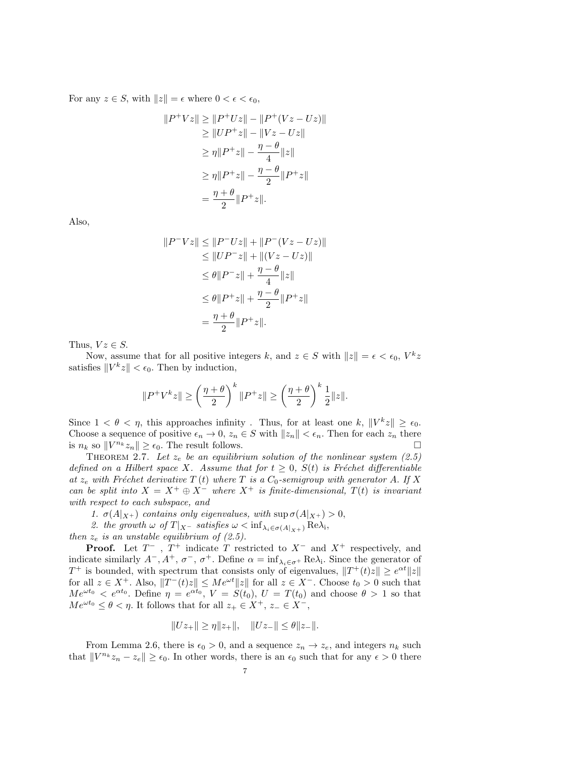For any  $z \in S$ , with  $||z|| = \epsilon$  where  $0 < \epsilon < \epsilon_0$ ,

$$
||P^{+}Vz|| \ge ||P^{+}Uz|| - ||P^{+}(Vz - Uz)||
$$
  
\n
$$
\ge ||UP^{+}z|| - ||Vz - Uz||
$$
  
\n
$$
\ge \eta ||P^{+}z|| - \frac{\eta - \theta}{4} ||z||
$$
  
\n
$$
\ge \eta ||P^{+}z|| - \frac{\eta - \theta}{2} ||P^{+}z||
$$
  
\n
$$
= \frac{\eta + \theta}{2} ||P^{+}z||.
$$

Also,

$$
||P^{-}Vz|| \le ||P^{-}Uz|| + ||P^{-}(Vz - Uz)||
$$
  
\n
$$
\le ||UP^{-}z|| + ||(Vz - Uz)||
$$
  
\n
$$
\le \theta ||P^{-}z|| + \frac{\eta - \theta}{4} ||z||
$$
  
\n
$$
\le \theta ||P^{+}z|| + \frac{\eta - \theta}{2} ||P^{+}z||
$$
  
\n
$$
= \frac{\eta + \theta}{2} ||P^{+}z||.
$$

Thus,  $Vz \in S$ .

Now, assume that for all positive integers k, and  $z \in S$  with  $||z|| = \epsilon < \epsilon_0$ ,  $V^k z$ satisfies  $||V^k z|| < \epsilon_0$ . Then by induction,

$$
\|P^+V^kz\|\geq\left(\frac{\eta+\theta}{2}\right)^k\|P^+z\|\geq\left(\frac{\eta+\theta}{2}\right)^k\frac{1}{2}\|z\|.
$$

Since  $1 < \theta < \eta$ , this approaches infinity. Thus, for at least one k,  $||V^kz|| \geq \epsilon_0$ . Choose a sequence of positive  $\epsilon_n \to 0$ ,  $z_n \in S$  with  $||z_n|| < \epsilon_n$ . Then for each  $z_n$  there is  $n_k$  so  $||V^{n_k}z_n|| \geq \epsilon_0$ . The result follows.

THEOREM 2.7. Let  $z_e$  be an equilibrium solution of the nonlinear system (2.5) defined on a Hilbert space X. Assume that for  $t \geq 0$ ,  $S(t)$  is Fréchet differentiable at  $z_e$  with Fréchet derivative T (t) where T is a  $C_0$ -semigroup with generator A. If X can be split into  $X = X^+ \oplus X^-$  where  $X^+$  is finite-dimensional,  $T(t)$  is invariant with respect to each subspace, and

- 1.  $\sigma(A|_{X^+})$  contains only eigenvalues, with  $\sup \sigma(A|_{X^+}) > 0$ ,
- 2. the growth  $\omega$  of  $T|_{X}$  satisfies  $\omega < \inf_{\lambda_i \in \sigma(A|_{X^+})} \text{Re}\lambda_i$ ,

then  $z_e$  is an unstable equilibrium of (2.5).

**Proof.** Let  $T^-$ ,  $T^+$  indicate T restricted to  $X^-$  and  $X^+$  respectively, and indicate similarly  $A^-$ ,  $A^+$ ,  $\sigma^-$ ,  $\sigma^+$ . Define  $\alpha = \inf_{\lambda_i \in \sigma^+} \text{Re}\lambda_i$ . Since the generator of  $T^+$  is bounded, with spectrum that consists only of eigenvalues,  $||T^+(t)z|| \geq e^{\alpha t} ||z||$ for all  $z \in X^+$ . Also,  $||T^{-}(t)z|| \leq Me^{\omega t}||z||$  for all  $z \in X^-$ . Choose  $t_0 > 0$  such that  $Me^{\omega t_0} < e^{\alpha t_0}$ . Define  $\eta = e^{\alpha t_0}$ ,  $V = S(t_0)$ ,  $U = T(t_0)$  and choose  $\theta > 1$  so that  $Me^{\omega t_0} \leq \theta < \eta$ . It follows that for all  $z_+ \in X^+$ ,  $z_- \in X^-$ ,

$$
||Uz_+|| \ge \eta ||z_+||, \quad ||Uz_-|| \le \theta ||z_-||.
$$

From Lemma 2.6, there is  $\epsilon_0 > 0$ , and a sequence  $z_n \to z_e$ , and integers  $n_k$  such that  $||V^{n_k}z_n - z_{\epsilon}|| \geq \epsilon_0$ . In other words, there is an  $\epsilon_0$  such that for any  $\epsilon > 0$  there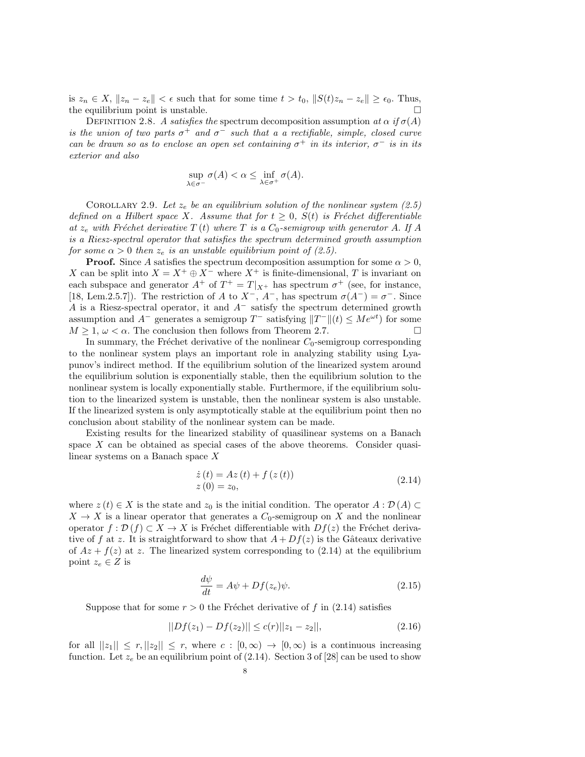is  $z_n \in X$ ,  $||z_n - z_e|| < \epsilon$  such that for some time  $t > t_0$ ,  $||S(t)z_n - z_e|| \geq \epsilon_0$ . Thus, the equilibrium point is unstable.  $\square$ 

DEFINITION 2.8. A satisfies the spectrum decomposition assumption at  $\alpha$  if  $\sigma(A)$ is the union of two parts  $\sigma^+$  and  $\sigma^-$  such that a a rectifiable, simple, closed curve can be drawn so as to enclose an open set containing  $\sigma^+$  in its interior,  $\sigma^-$  is in its exterior and also

$$
\sup_{\lambda \in \sigma^-} \sigma(A) < \alpha \leq \inf_{\lambda \in \sigma^+} \sigma(A).
$$

COROLLARY 2.9. Let  $z_e$  be an equilibrium solution of the nonlinear system (2.5) defined on a Hilbert space X. Assume that for  $t \geq 0$ ,  $S(t)$  is Fréchet differentiable at  $z_e$  with Fréchet derivative T (t) where T is a  $C_0$ -semigroup with generator A. If A is a Riesz-spectral operator that satisfies the spectrum determined growth assumption for some  $\alpha > 0$  then  $z_e$  is an unstable equilibrium point of (2.5).

**Proof.** Since A satisfies the spectrum decomposition assumption for some  $\alpha > 0$ , X can be split into  $X = X^+ \oplus X^-$  where  $X^+$  is finite-dimensional, T is invariant on each subspace and generator  $A^+$  of  $T^+ = T|_{X^+}$  has spectrum  $\sigma^+$  (see, for instance, [18, Lem.2.5.7]). The restriction of A to  $X^-$ ,  $A^-$ , has spectrum  $\sigma(A^-) = \sigma^-$ . Since A is a Riesz-spectral operator, it and  $A^-$  satisfy the spectrum determined growth assumption and  $A^-$  generates a semigroup  $T^-$  satisfying  $||T^-||(t) \leq Me^{\omega t}$  for some  $M \geq 1, \omega < \alpha$ . The conclusion then follows from Theorem 2.7.

In summary, the Fréchet derivative of the nonlinear  $C_0$ -semigroup corresponding to the nonlinear system plays an important role in analyzing stability using Lyapunov's indirect method. If the equilibrium solution of the linearized system around the equilibrium solution is exponentially stable, then the equilibrium solution to the nonlinear system is locally exponentially stable. Furthermore, if the equilibrium solution to the linearized system is unstable, then the nonlinear system is also unstable. If the linearized system is only asymptotically stable at the equilibrium point then no conclusion about stability of the nonlinear system can be made.

Existing results for the linearized stability of quasilinear systems on a Banach space X can be obtained as special cases of the above theorems. Consider quasilinear systems on a Banach space X

$$
\begin{aligned} \dot{z}(t) &= Az(t) + f(z(t)) \\ z(0) &= z_0, \end{aligned} \tag{2.14}
$$

where  $z(t) \in X$  is the state and  $z_0$  is the initial condition. The operator  $A : \mathcal{D}(A) \subset$  $X \to X$  is a linear operator that generates a  $C_0$ -semigroup on X and the nonlinear operator  $f : \mathcal{D}(f) \subset X \to X$  is Fréchet differentiable with  $Df(z)$  the Fréchet derivative of f at z. It is straightforward to show that  $A + Df(z)$  is the Gâteaux derivative of  $Az + f(z)$  at z. The linearized system corresponding to (2.14) at the equilibrium point  $z_e \in Z$  is

$$
\frac{d\psi}{dt} = A\psi + Df(z_e)\psi.
$$
\n(2.15)

Suppose that for some  $r > 0$  the Fréchet derivative of f in (2.14) satisfies

$$
||Df(z_1) - Df(z_2)|| \le c(r)||z_1 - z_2||,\t(2.16)
$$

for all  $||z_1|| \leq r, ||z_2|| \leq r$ , where  $c : [0, \infty) \to [0, \infty)$  is a continuous increasing function. Let  $z_e$  be an equilibrium point of (2.14). Section 3 of [28] can be used to show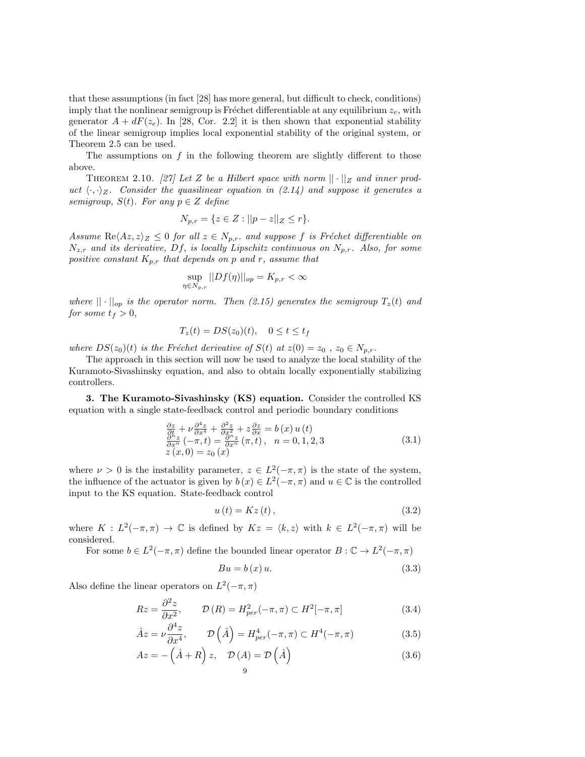that these assumptions (in fact [28] has more general, but difficult to check, conditions) imply that the nonlinear semigroup is Fréchet differentiable at any equilibrium  $z_e$ , with generator  $A + dF(z_e)$ . In [28, Cor. 2.2] it is then shown that exponential stability of the linear semigroup implies local exponential stability of the original system, or Theorem 2.5 can be used.

The assumptions on  $f$  in the following theorem are slightly different to those above.

THEOREM 2.10. [27] Let Z be a Hilbert space with norm  $|| \cdot ||_Z$  and inner product  $\langle \cdot, \cdot \rangle_Z$ . Consider the quasilinear equation in (2.14) and suppose it generates a semigroup,  $S(t)$ . For any  $p \in Z$  define

$$
N_{p,r} = \{ z \in Z : ||p - z||_Z \le r \}.
$$

Assume  $\text{Re}\langle Az, z\rangle_Z \leq 0$  for all  $z \in N_{p,r}$ , and suppose f is Fréchet differentiable on  $N_{z,r}$  and its derivative, Df, is locally Lipschitz continuous on  $N_{p,r}$ . Also, for some positive constant  $K_{p,r}$  that depends on p and r, assume that

$$
\sup_{\eta \in N_{p,r}} ||Df(\eta)||_{op} = K_{p,r} < \infty
$$

where  $|| \cdot ||_{op}$  is the operator norm. Then (2.15) generates the semigroup  $T_z(t)$  and for some  $t_f > 0$ ,

$$
T_z(t) = DS(z_0)(t), \quad 0 \le t \le t_f
$$

where  $DS(z_0)(t)$  is the Fréchet derivative of  $S(t)$  at  $z(0) = z_0$ ,  $z_0 \in N_{p,r}$ .

The approach in this section will now be used to analyze the local stability of the Kuramoto-Sivashinsky equation, and also to obtain locally exponentially stabilizing controllers.

3. The Kuramoto-Sivashinsky (KS) equation. Consider the controlled KS equation with a single state-feedback control and periodic boundary conditions

$$
\frac{\partial z}{\partial t} + \nu \frac{\partial^4 z}{\partial x^4} + \frac{\partial^2 z}{\partial x^2} + z \frac{\partial z}{\partial x} = b(x) u(t) \n\frac{\partial^h z}{\partial x^m} (-\pi, t) = \frac{\partial^h z}{\partial x^m} (\pi, t), \quad n = 0, 1, 2, 3 \nz(x, 0) = z_0(x)
$$
\n(3.1)

where  $\nu > 0$  is the instability parameter,  $z \in L^2(-\pi, \pi)$  is the state of the system, the influence of the actuator is given by  $b(x) \in L^2(-\pi, \pi)$  and  $u \in \mathbb{C}$  is the controlled input to the KS equation. State-feedback control

$$
u(t) = Kz(t), \qquad (3.2)
$$

where  $K : L^2(-\pi, \pi) \to \mathbb{C}$  is defined by  $Kz = \langle k, z \rangle$  with  $k \in L^2(-\pi, \pi)$  will be considered.

For some  $b \in L^2(-\pi, \pi)$  define the bounded linear operator  $B : \mathbb{C} \to L^2(-\pi, \pi)$ 

$$
Bu = b(x)u.
$$
\n
$$
(3.3)
$$

Also define the linear operators on  $L^2(-\pi, \pi)$ 

$$
Rz = \frac{\partial^2 z}{\partial x^2}, \qquad \mathcal{D}(R) = H_{per}^2(-\pi, \pi) \subset H^2[-\pi, \pi]
$$
 (3.4)

$$
\hat{A}z = \nu \frac{\partial^4 z}{\partial x^4}, \qquad \mathcal{D}\left(\hat{A}\right) = H_{per}^4(-\pi, \pi) \subset H^4(-\pi, \pi) \tag{3.5}
$$

$$
Az = -(\hat{A} + R) z, \quad \mathcal{D}(A) = \mathcal{D}(\hat{A})
$$
\n<sup>9</sup>\n(3.6)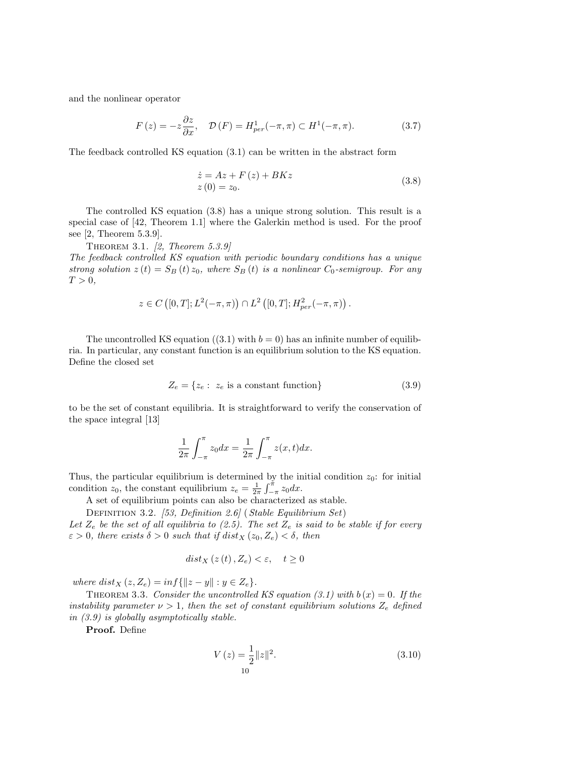and the nonlinear operator

$$
F(z) = -z \frac{\partial z}{\partial x}, \quad \mathcal{D}(F) = H_{per}^1(-\pi, \pi) \subset H^1(-\pi, \pi). \tag{3.7}
$$

The feedback controlled KS equation (3.1) can be written in the abstract form

$$
\begin{aligned}\n\dot{z} &= Az + F\left(z\right) + BKz \\
z\left(0\right) &= z_0.\n\end{aligned} \tag{3.8}
$$

The controlled KS equation (3.8) has a unique strong solution. This result is a special case of [42, Theorem 1.1] where the Galerkin method is used. For the proof see [2, Theorem 5.3.9].

Theorem 3.1. [2, Theorem 5.3.9]

The feedback controlled KS equation with periodic boundary conditions has a unique strong solution  $z(t) = S_B(t) z_0$ , where  $S_B(t)$  is a nonlinear  $C_0$ -semigroup. For any  $T > 0$ ,

$$
z \in C([0, T]; L^{2}(-\pi, \pi)) \cap L^{2}([0, T]; H^{2}_{per}(-\pi, \pi)).
$$

The uncontrolled KS equation ((3.1) with  $b = 0$ ) has an infinite number of equilibria. In particular, any constant function is an equilibrium solution to the KS equation. Define the closed set

$$
Z_e = \{z_e : z_e \text{ is a constant function}\}\tag{3.9}
$$

to be the set of constant equilibria. It is straightforward to verify the conservation of the space integral [13]

$$
\frac{1}{2\pi} \int_{-\pi}^{\pi} z_0 dx = \frac{1}{2\pi} \int_{-\pi}^{\pi} z(x, t) dx.
$$

Thus, the particular equilibrium is determined by the initial condition  $z_0$ : for initial condition  $z_0$ , the constant equilibrium  $z_e = \frac{1}{2\pi} \int_{-\pi}^{\pi} z_0 dx$ .

A set of equilibrium points can also be characterized as stable.

DEFINITION 3.2. [53, Definition 2.6] (Stable Equilibrium Set)

Let  $Z_e$  be the set of all equilibria to (2.5). The set  $Z_e$  is said to be stable if for every  $\varepsilon > 0$ , there exists  $\delta > 0$  such that if  $dist_X(z_0, Z_e) < \delta$ , then

$$
dist_X(z(t), Z_e) < \varepsilon, \quad t \ge 0
$$

where  $dist_X(z, Z_e) = inf\{||z - y|| : y \in Z_e\}.$ 

THEOREM 3.3. Consider the uncontrolled KS equation (3.1) with  $b(x) = 0$ . If the instability parameter  $\nu > 1$ , then the set of constant equilibrium solutions  $Z_e$  defined in (3.9) is globally asymptotically stable.

Proof. Define

$$
V(z) = \frac{1}{2} ||z||^2.
$$
\n(3.10)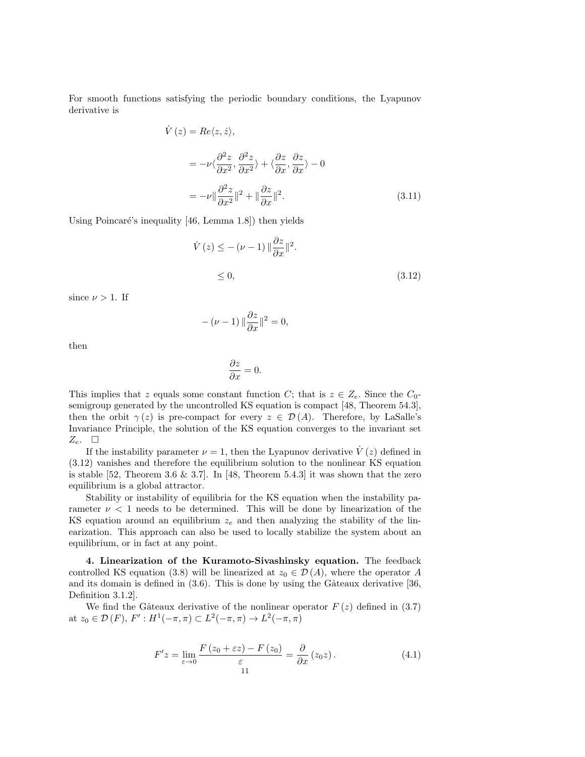For smooth functions satisfying the periodic boundary conditions, the Lyapunov derivative is

$$
\dot{V}(z) = Re\langle z, \dot{z} \rangle,
$$
\n
$$
= -\nu \langle \frac{\partial^2 z}{\partial x^2}, \frac{\partial^2 z}{\partial x^2} \rangle + \langle \frac{\partial z}{\partial x}, \frac{\partial z}{\partial x} \rangle - 0
$$
\n
$$
= -\nu \| \frac{\partial^2 z}{\partial x^2} \|^2 + \| \frac{\partial z}{\partial x} \|^2. \tag{3.11}
$$

Using Poincaré's inequality  $[46,$  Lemma 1.8]) then yields

$$
\dot{V}(z) \le -(\nu - 1) \|\frac{\partial z}{\partial x}\|^2.
$$
  
\n
$$
\le 0,
$$
\n(3.12)

since  $\nu > 1$ . If

 $-(\nu - 1) \|\frac{\partial z}{\partial x}\|^2 = 0,$ 

then

$$
\frac{\partial z}{\partial x} = 0.
$$

This implies that z equals some constant function C; that is  $z \in Z_e$ . Since the C<sub>0</sub>semigroup generated by the uncontrolled KS equation is compact [48, Theorem 54.3], then the orbit  $\gamma(z)$  is pre-compact for every  $z \in \mathcal{D}(A)$ . Therefore, by LaSalle's Invariance Principle, the solution of the KS equation converges to the invariant set  $Z_e$ .  $\square$ 

If the instability parameter  $\nu = 1$ , then the Lyapunov derivative  $\dot{V}(z)$  defined in (3.12) vanishes and therefore the equilibrium solution to the nonlinear KS equation is stable [52, Theorem 3.6 & 3.7]. In [48, Theorem 5.4.3] it was shown that the zero equilibrium is a global attractor.

Stability or instability of equilibria for the KS equation when the instability parameter  $\nu < 1$  needs to be determined. This will be done by linearization of the KS equation around an equilibrium  $z_e$  and then analyzing the stability of the linearization. This approach can also be used to locally stabilize the system about an equilibrium, or in fact at any point.

4. Linearization of the Kuramoto-Sivashinsky equation. The feedback controlled KS equation (3.8) will be linearized at  $z_0 \in \mathcal{D}(A)$ , where the operator A and its domain is defined in  $(3.6)$ . This is done by using the Gâteaux derivative [36, Definition 3.1.2].

We find the Gâteaux derivative of the nonlinear operator  $F(z)$  defined in (3.7) at  $z_0 \in \mathcal{D}(F)$ ,  $F' : H^1(-\pi, \pi) \subset L^2(-\pi, \pi) \to L^2(-\pi, \pi)$ 

$$
F'z = \lim_{\varepsilon \to 0} \frac{F(z_0 + \varepsilon z) - F(z_0)}{\varepsilon} = \frac{\partial}{\partial x} (z_0 z). \tag{4.1}
$$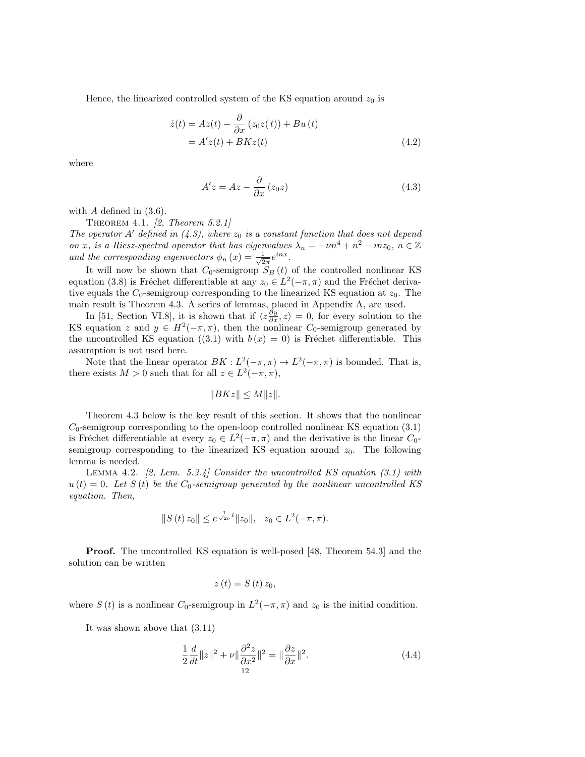Hence, the linearized controlled system of the KS equation around  $z_0$  is

$$
\begin{aligned} \dot{z}(t) &= Az(t) - \frac{\partial}{\partial x} \left( z_0 z(t) \right) + Bu(t) \\ &= A' z(t) + BK z(t) \end{aligned} \tag{4.2}
$$

where

$$
A'z = Az - \frac{\partial}{\partial x}(z_0 z)
$$
 (4.3)

with  $A$  defined in  $(3.6)$ .

THEOREM 4.1.  $[2, Theorem 5.2.1]$ 

The operator A' defined in (4.3), where  $z_0$  is a constant function that does not depend on x, is a Riesz-spectral operator that has eigenvalues  $\lambda_n = -\nu n^4 + n^2 - i n z_0, n \in \mathbb{Z}$ and the corresponding eigenvectors  $\phi_n(x) = \frac{1}{\sqrt{2}}$  $rac{1}{2\pi}e^{inx}$ .

It will now be shown that  $C_0$ -semigroup  $S_B(t)$  of the controlled nonlinear KS equation (3.8) is Fréchet differentiable at any  $z_0 \in L^2(-\pi, \pi)$  and the Fréchet derivative equals the  $C_0$ -semigroup corresponding to the linearized KS equation at  $z_0$ . The main result is Theorem 4.3. A series of lemmas, placed in Appendix A, are used.

In [51, Section VI.8], it is shown that if  $\langle z \frac{\partial y}{\partial x}, z \rangle = 0$ , for every solution to the KS equation z and  $y \in H^2(-\pi, \pi)$ , then the nonlinear  $C_0$ -semigroup generated by the uncontrolled KS equation ((3.1) with  $b(x) = 0$ ) is Fréchet differentiable. This assumption is not used here.

Note that the linear operator  $BK : L^2(-\pi, \pi) \to L^2(-\pi, \pi)$  is bounded. That is, there exists  $M > 0$  such that for all  $z \in L^2(-\pi, \pi)$ ,

$$
||BKz|| \le M||z||.
$$

Theorem 4.3 below is the key result of this section. It shows that the nonlinear  $C_0$ -semigroup corresponding to the open-loop controlled nonlinear KS equation (3.1) is Fréchet differentiable at every  $z_0 \in L^2(-\pi,\pi)$  and the derivative is the linear  $C_0$ semigroup corresponding to the linearized KS equation around  $z_0$ . The following lemma is needed.

LEMMA 4.2.  $[2, \text{ Lem. } 5.3.4]$  Consider the uncontrolled KS equation  $(3.1)$  with  $u(t) = 0$ . Let  $S(t)$  be the  $C_0$ -semigroup generated by the nonlinear uncontrolled KS equation. Then,

$$
||S(t) z_0|| \leq e^{\frac{1}{\sqrt{2\nu}}t} ||z_0||, \quad z_0 \in L^2(-\pi, \pi).
$$

Proof. The uncontrolled KS equation is well-posed [48, Theorem 54.3] and the solution can be written

$$
z\left( t\right) =S\left( t\right) z_{0},
$$

where  $S(t)$  is a nonlinear  $C_0$ -semigroup in  $L^2(-\pi,\pi)$  and  $z_0$  is the initial condition.

It was shown above that (3.11)

$$
\frac{1}{2}\frac{d}{dt}\|z\|^2 + \nu \|\frac{\partial^2 z}{\partial x^2}\|^2 = \|\frac{\partial z}{\partial x}\|^2.
$$
\n(4.4)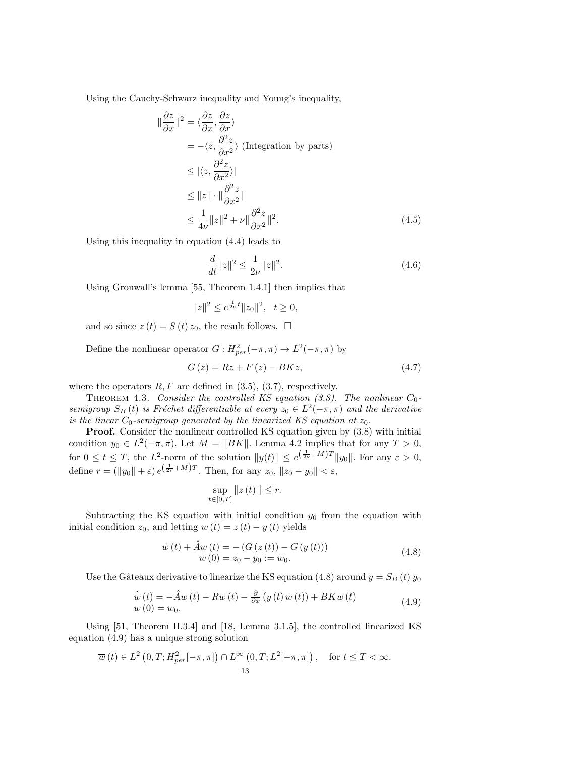Using the Cauchy-Schwarz inequality and Young's inequality,

$$
\frac{\partial z}{\partial x}\|^{2} = \langle \frac{\partial z}{\partial x}, \frac{\partial z}{\partial x} \rangle
$$
  
\n
$$
= -\langle z, \frac{\partial^{2} z}{\partial x^{2}} \rangle \text{ (Integration by parts)}
$$
  
\n
$$
\leq |\langle z, \frac{\partial^{2} z}{\partial x^{2}} \rangle|
$$
  
\n
$$
\leq \|z\| \cdot \|\frac{\partial^{2} z}{\partial x^{2}}\|
$$
  
\n
$$
\leq \frac{1}{4\nu} \|z\|^{2} + \nu \|\frac{\partial^{2} z}{\partial x^{2}}\|^{2}.
$$
 (4.5)

Using this inequality in equation (4.4) leads to

 $\parallel$ 

$$
\frac{d}{dt}||z||^2 \le \frac{1}{2\nu}||z||^2.
$$
\n(4.6)

Using Gronwall's lemma [55, Theorem 1.4.1] then implies that

$$
||z||^2 \le e^{\frac{1}{2\nu}t} ||z_0||^2, \quad t \ge 0,
$$

and so since  $z(t) = S(t) z_0$ , the result follows.  $\Box$ 

Define the nonlinear operator  $G: H_{per}^2(-\pi, \pi) \to L^2(-\pi, \pi)$  by

$$
G(z) = Rz + F(z) - BKz,
$$
\n
$$
(4.7)
$$

where the operators  $R, F$  are defined in  $(3.5), (3.7)$ , respectively.

THEOREM 4.3. Consider the controlled KS equation (3.8). The nonlinear  $C_0$ semigroup  $S_B(t)$  is Fréchet differentiable at every  $z_0 \in L^2(-\pi,\pi)$  and the derivative is the linear  $C_0$ -semigroup generated by the linearized KS equation at  $z_0$ .

Proof. Consider the nonlinear controlled KS equation given by  $(3.8)$  with initial condition  $y_0 \in L^2(-\pi, \pi)$ . Let  $M = ||BK||$ . Lemma 4.2 implies that for any  $T > 0$ , for  $0 \le t \le T$ , the L<sup>2</sup>-norm of the solution  $||y(t)|| \le e^{(\frac{1}{2\nu}+M)T} ||y_0||$ . For any  $\varepsilon > 0$ , define  $r = (||y_0|| + \varepsilon) e^{(\frac{1}{2\nu} + M)T}$ . Then, for any  $z_0, ||z_0 - y_0|| < \varepsilon$ ,

$$
\sup_{t\in[0,T]}\|z\left(t\right)\|\leq r.
$$

Subtracting the KS equation with initial condition  $y_0$  from the equation with initial condition  $z_0$ , and letting  $w(t) = z(t) - y(t)$  yields

$$
\dot{w}(t) + \hat{A}w(t) = -(G(z(t)) - G(y(t)))
$$
  
\n
$$
w(0) = z_0 - y_0 := w_0.
$$
\n(4.8)

Use the Gâteaux derivative to linearize the KS equation (4.8) around  $y = S_B(t) y_0$ 

$$
\frac{\dot{\overline{w}}}{\overline{w}}(t) = -\hat{A}\overline{w}(t) - R\overline{w}(t) - \frac{\partial}{\partial x}(y(t)\overline{w}(t)) + BK\overline{w}(t)
$$
\n
$$
\overline{w}(0) = w_0.
$$
\n(4.9)

Using [51, Theorem II.3.4] and [18, Lemma 3.1.5], the controlled linearized KS equation (4.9) has a unique strong solution

$$
\overline{w}(t) \in L^2\left(0, T; H_{per}^2[-\pi, \pi]\right) \cap L^\infty\left(0, T; L^2[-\pi, \pi]\right), \quad \text{for } t \le T < \infty.
$$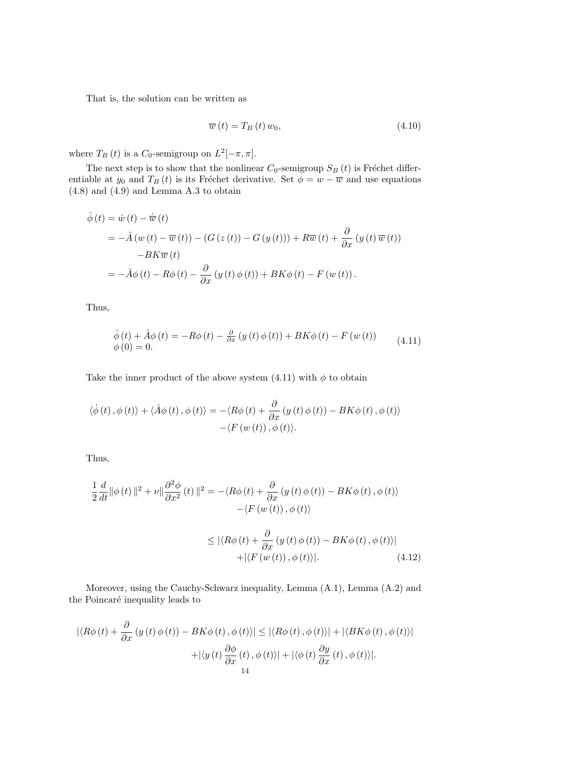That is, the solution can be written as

$$
\overline{w}(t) = T_B(t) w_0, \qquad (4.10)
$$

where  $T_B(t)$  is a  $C_0$ -semigroup on  $L^2[-\pi, \pi]$ .

The next step is to show that the nonlinear  $C_0$ -semigroup  $S_B(t)$  is Fréchet differentiable at  $y_0$  and  $T_B(t)$  is its Fréchet derivative. Set  $\phi = w - \overline{w}$  and use equations (4.8) and (4.9) and Lemma A.3 to obtain

$$
\dot{\phi}(t) = \dot{w}(t) - \dot{\overline{w}}(t)
$$
\n
$$
= -\hat{A}(w(t) - \overline{w}(t)) - (G(z(t)) - G(y(t))) + R\overline{w}(t) + \frac{\partial}{\partial x}(y(t)\overline{w}(t))
$$
\n
$$
-BK\overline{w}(t)
$$
\n
$$
= -\hat{A}\phi(t) - R\phi(t) - \frac{\partial}{\partial x}(y(t)\phi(t)) + BK\phi(t) - F(w(t)).
$$

Thus,

$$
\dot{\phi}(t) + \hat{A}\phi(t) = -R\phi(t) - \frac{\partial}{\partial x}(y(t)\phi(t)) + BK\phi(t) - F(w(t))
$$
\n
$$
\phi(0) = 0.
$$
\n(4.11)

Take the inner product of the above system (4.11) with  $\phi$  to obtain

$$
\langle \dot{\phi}(t), \phi(t) \rangle + \langle \hat{A}\phi(t), \phi(t) \rangle = -\langle R\phi(t) + \frac{\partial}{\partial x} (y(t)\phi(t)) - BK\phi(t), \phi(t) \rangle -\langle F(w(t)), \phi(t) \rangle.
$$

Thus,

$$
\frac{1}{2} \frac{d}{dt} ||\phi(t)||^2 + \nu ||\frac{\partial^2 \phi}{\partial x^2}(t)||^2 = -\langle R\phi(t) + \frac{\partial}{\partial x}(y(t)\phi(t)) - BK\phi(t), \phi(t) \rangle
$$
  

$$
-\langle F(w(t)), \phi(t) \rangle
$$
  

$$
\leq |\langle R\phi(t) + \frac{\partial}{\partial x}(y(t)\phi(t)) - BK\phi(t), \phi(t) \rangle|
$$
  

$$
+ |\langle F(w(t)), \phi(t) \rangle|. \tag{4.12}
$$

Moreover, using the Cauchy-Schwarz inequality, Lemma (A.1), Lemma (A.2) and the Poincaré inequality leads to

$$
|\langle R\phi(t) + \frac{\partial}{\partial x} (y(t)\phi(t)) - BK\phi(t), \phi(t) \rangle| \le |\langle R\phi(t), \phi(t) \rangle| + |\langle BK\phi(t), \phi(t) \rangle|
$$

$$
+ |\langle y(t) \frac{\partial \phi}{\partial x}(t), \phi(t) \rangle| + |\langle \phi(t) \frac{\partial y}{\partial x}(t), \phi(t) \rangle|.
$$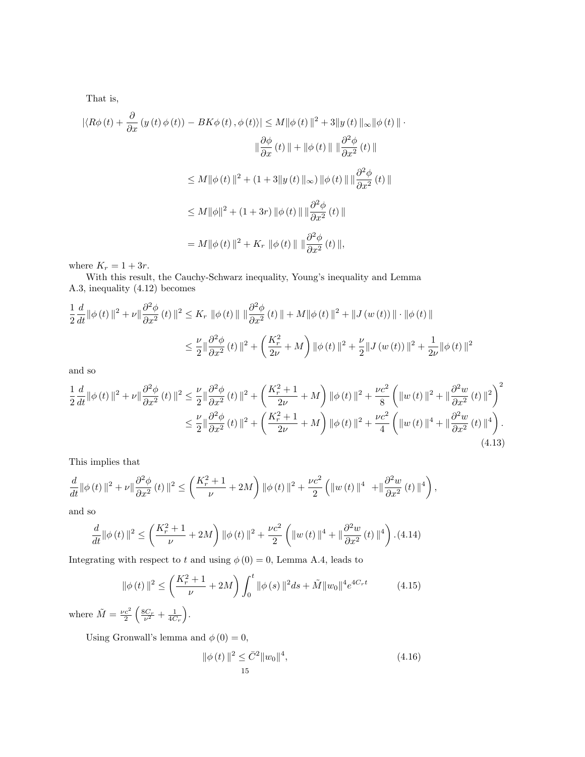That is,

$$
\begin{aligned} |\langle R\phi(t) + \frac{\partial}{\partial x} \left( y(t)\phi(t) \right) - BK\phi(t), \phi(t) \rangle| &\le M \|\phi(t)\|^2 + 3\|y(t)\|_{\infty} \|\phi(t)\| \\ &\quad \|\frac{\partial \phi}{\partial x}(t)\| + \|\phi(t)\| \|\frac{\partial^2 \phi}{\partial x^2}(t)\| \\ &\le M \|\phi(t)\|^2 + (1+3\|y(t)\|_{\infty}) \|\phi(t)\| \|\frac{\partial^2 \phi}{\partial x^2}(t)\| \\ &\le M \|\phi\|^2 + (1+3r) \|\phi(t)\| \|\frac{\partial^2 \phi}{\partial x^2}(t)\| \\ &= M \|\phi(t)\|^2 + K_r \|\phi(t)\| \|\frac{\partial^2 \phi}{\partial x^2}(t)\|, \end{aligned}
$$

where  $K_r = 1 + 3r$ .

With this result, the Cauchy-Schwarz inequality, Young's inequality and Lemma A.3, inequality (4.12) becomes

$$
\frac{1}{2}\frac{d}{dt}\|\phi(t)\|^2 + \nu\|\frac{\partial^2\phi}{\partial x^2}(t)\|^2 \le K_r \|\phi(t)\| \|\frac{\partial^2\phi}{\partial x^2}(t)\| + M\|\phi(t)\|^2 + \|J(w(t))\| \cdot \|\phi(t)\|
$$
  

$$
\le \frac{\nu}{2}\|\frac{\partial^2\phi}{\partial x^2}(t)\|^2 + \left(\frac{K_r^2}{2\nu} + M\right) \|\phi(t)\|^2 + \frac{\nu}{2}\|J(w(t))\|^2 + \frac{1}{2\nu}\|\phi(t)\|^2
$$

and so

$$
\frac{1}{2}\frac{d}{dt}\|\phi(t)\|^2 + \nu\|\frac{\partial^2\phi}{\partial x^2}(t)\|^2 \le \frac{\nu}{2}\|\frac{\partial^2\phi}{\partial x^2}(t)\|^2 + \left(\frac{K_r^2 + 1}{2\nu} + M\right)\|\phi(t)\|^2 + \frac{\nu c^2}{8}\left(\|w(t)\|^2 + \|\frac{\partial^2w}{\partial x^2}(t)\|^2\right)^2
$$
  

$$
\le \frac{\nu}{2}\|\frac{\partial^2\phi}{\partial x^2}(t)\|^2 + \left(\frac{K_r^2 + 1}{2\nu} + M\right)\|\phi(t)\|^2 + \frac{\nu c^2}{4}\left(\|w(t)\|^4 + \|\frac{\partial^2w}{\partial x^2}(t)\|^4\right). \tag{4.13}
$$

This implies that

$$
\frac{d}{dt}\|\phi\left(t\right)\|^2+\nu\|\frac{\partial^2\phi}{\partial x^2}\left(t\right)\|^2\leq\left(\frac{K_r^2+1}{\nu}+2M\right)\|\phi\left(t\right)\|^2+\frac{\nu c^2}{2}\left(\|w\left(t\right)\|^4\right.\left.\left+\|\frac{\partial^2w}{\partial x^2}\left(t\right)\|^4\right),
$$

and so

$$
\frac{d}{dt} \|\phi(t)\|^2 \le \left(\frac{K_r^2 + 1}{\nu} + 2M\right) \|\phi(t)\|^2 + \frac{\nu c^2}{2} \left( \|w(t)\|^4 + \|\frac{\partial^2 w}{\partial x^2}(t)\|^4 \right). (4.14)
$$

Integrating with respect to t and using  $\phi(0) = 0$ , Lemma A.4, leads to

$$
\|\phi(t)\|^2 \le \left(\frac{K_r^2 + 1}{\nu} + 2M\right) \int_0^t \|\phi(s)\|^2 ds + \tilde{M} \|w_0\|^4 e^{4C_r t} \tag{4.15}
$$

where  $\tilde{M} = \frac{\nu c^2}{2} \left( \frac{8C_r}{\nu^2} + \frac{1}{4C_r} \right)$ .

Using Gronwall's lemma and  $\phi(0) = 0$ ,

$$
\|\phi(t)\|^2 \le \bar{C}^2 \|w_0\|^4, \tag{4.16}
$$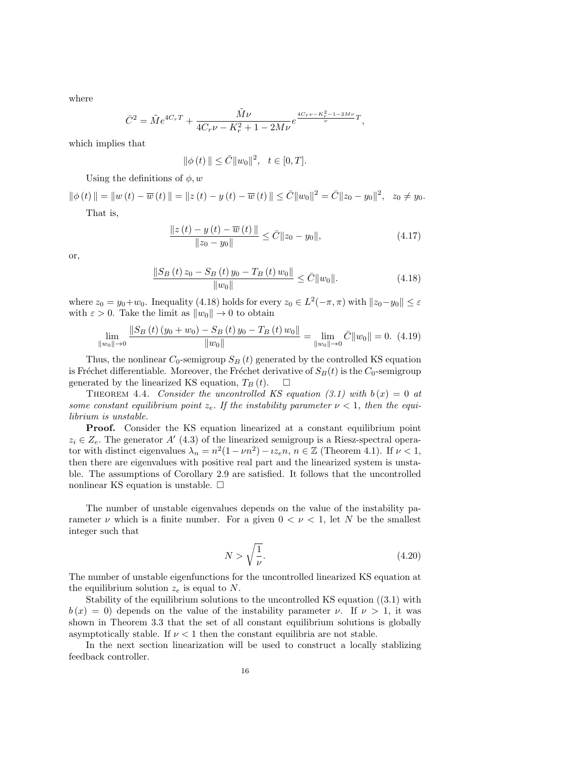where

$$
\bar{C}^2 = \tilde{M}e^{4C_rT} + \frac{\tilde{M}\nu}{4C_r\nu - K_r^2 + 1 - 2M\nu}e^{\frac{4C_r\nu - K_r^2 - 1 - 2M\nu}{\nu}T},
$$

which implies that

$$
\|\phi(t)\| \le \bar{C} \|w_0\|^2, \quad t \in [0, T].
$$

Using the definitions of  $\phi, w$ 

 $\|\phi(t)\| = \|w(t) - \overline{w}(t)\| = \|z(t) - y(t) - \overline{w}(t)\| \leq \overline{C} \|w_0\|^2 = \overline{C} \|z_0 - y_0\|^2, \ \ z_0 \neq y_0.$ 

That is,

$$
\frac{\|z(t) - y(t) - \overline{w}(t)\|}{\|z_0 - y_0\|} \le \overline{C} \|z_0 - y_0\|,
$$
\n(4.17)

or,

$$
\frac{\|S_B(t)z_0 - S_B(t)y_0 - T_B(t)w_0\|}{\|w_0\|} \le \bar{C} \|w_0\|. \tag{4.18}
$$

where  $z_0 = y_0 + w_0$ . Inequality (4.18) holds for every  $z_0 \in L^2(-\pi, \pi)$  with  $||z_0 - y_0|| \leq \varepsilon$ with  $\varepsilon > 0$ . Take the limit as  $||w_0|| \to 0$  to obtain

$$
\lim_{\|w_0\|\to 0} \frac{\|S_B(t)(y_0 + w_0) - S_B(t)y_0 - T_B(t)w_0\|}{\|w_0\|} = \lim_{\|w_0\|\to 0} \bar{C} \|w_0\| = 0. \tag{4.19}
$$

Thus, the nonlinear  $C_0$ -semigroup  $S_B(t)$  generated by the controlled KS equation is Fréchet differentiable. Moreover, the Fréchet derivative of  $S_B(t)$  is the  $C_0$ -semigroup generated by the linearized KS equation,  $T_B(t)$ .  $\Box$ 

THEOREM 4.4. Consider the uncontrolled KS equation (3.1) with  $b(x) = 0$  at some constant equilibrium point  $z_e$ . If the instability parameter  $\nu < 1$ , then the equilibrium is unstable.

**Proof.** Consider the KS equation linearized at a constant equilibrium point  $z_i \in Z_e$ . The generator A' (4.3) of the linearized semigroup is a Riesz-spectral operator with distinct eigenvalues  $\lambda_n = n^2(1 - \nu n^2) - \iota z_e n, n \in \mathbb{Z}$  (Theorem 4.1). If  $\nu < 1$ , then there are eigenvalues with positive real part and the linearized system is unstable. The assumptions of Corollary 2.9 are satisfied. It follows that the uncontrolled nonlinear KS equation is unstable.  $\Box$ 

The number of unstable eigenvalues depends on the value of the instability parameter  $\nu$  which is a finite number. For a given  $0 < \nu < 1$ , let N be the smallest integer such that

$$
N > \sqrt{\frac{1}{\nu}}.\tag{4.20}
$$

The number of unstable eigenfunctions for the uncontrolled linearized KS equation at the equilibrium solution  $z_e$  is equal to N.

Stability of the equilibrium solutions to the uncontrolled KS equation ((3.1) with  $b(x) = 0$ ) depends on the value of the instability parameter  $\nu$ . If  $\nu > 1$ , it was shown in Theorem 3.3 that the set of all constant equilibrium solutions is globally asymptotically stable. If  $\nu < 1$  then the constant equilibria are not stable.

In the next section linearization will be used to construct a locally stablizing feedback controller.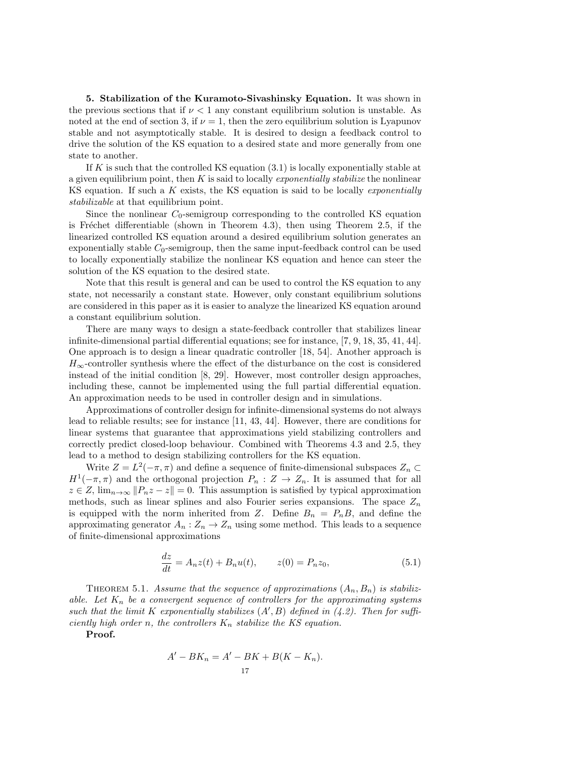5. Stabilization of the Kuramoto-Sivashinsky Equation. It was shown in the previous sections that if  $\nu < 1$  any constant equilibrium solution is unstable. As noted at the end of section 3, if  $\nu = 1$ , then the zero equilibrium solution is Lyapunov stable and not asymptotically stable. It is desired to design a feedback control to drive the solution of the KS equation to a desired state and more generally from one state to another.

If  $K$  is such that the controlled KS equation  $(3.1)$  is locally exponentially stable at a given equilibrium point, then  $K$  is said to locally *exponentially stabilize* the nonlinear KS equation. If such a  $K$  exists, the KS equation is said to be locally *exponentially* stabilizable at that equilibrium point.

Since the nonlinear  $C_0$ -semigroup corresponding to the controlled KS equation is Fréchet differentiable (shown in Theorem 4.3), then using Theorem 2.5, if the linearized controlled KS equation around a desired equilibrium solution generates an exponentially stable  $C_0$ -semigroup, then the same input-feedback control can be used to locally exponentially stabilize the nonlinear KS equation and hence can steer the solution of the KS equation to the desired state.

Note that this result is general and can be used to control the KS equation to any state, not necessarily a constant state. However, only constant equilibrium solutions are considered in this paper as it is easier to analyze the linearized KS equation around a constant equilibrium solution.

There are many ways to design a state-feedback controller that stabilizes linear infinite-dimensional partial differential equations; see for instance, [7, 9, 18, 35, 41, 44]. One approach is to design a linear quadratic controller [18, 54]. Another approach is  $H_{\infty}$ -controller synthesis where the effect of the disturbance on the cost is considered instead of the initial condition [8, 29]. However, most controller design approaches, including these, cannot be implemented using the full partial differential equation. An approximation needs to be used in controller design and in simulations.

Approximations of controller design for infinite-dimensional systems do not always lead to reliable results; see for instance [11, 43, 44]. However, there are conditions for linear systems that guarantee that approximations yield stabilizing controllers and correctly predict closed-loop behaviour. Combined with Theorems 4.3 and 2.5, they lead to a method to design stabilizing controllers for the KS equation.

Write  $Z = L^2(-\pi, \pi)$  and define a sequence of finite-dimensional subspaces  $Z_n \subset$  $H^1(-\pi,\pi)$  and the orthogonal projection  $P_n: Z \to Z_n$ . It is assumed that for all  $z \in Z$ ,  $\lim_{n \to \infty} ||P_n z - z|| = 0$ . This assumption is satisfied by typical approximation methods, such as linear splines and also Fourier series expansions. The space  $Z_n$ is equipped with the norm inherited from Z. Define  $B_n = P_n B$ , and define the approximating generator  $A_n: Z_n \to Z_n$  using some method. This leads to a sequence of finite-dimensional approximations

$$
\frac{dz}{dt} = A_n z(t) + B_n u(t), \qquad z(0) = P_n z_0,
$$
\n(5.1)

THEOREM 5.1. Assume that the sequence of approximations  $(A_n, B_n)$  is stabilizable. Let  $K_n$  be a convergent sequence of controllers for the approximating systems such that the limit K exponentially stabilizes  $(A', B)$  defined in  $(4.2)$ . Then for sufficiently high order n, the controllers  $K_n$  stabilize the KS equation.

Proof.

$$
A' - BK_n = A' - BK + B(K - K_n).
$$
  
<sub>17</sub>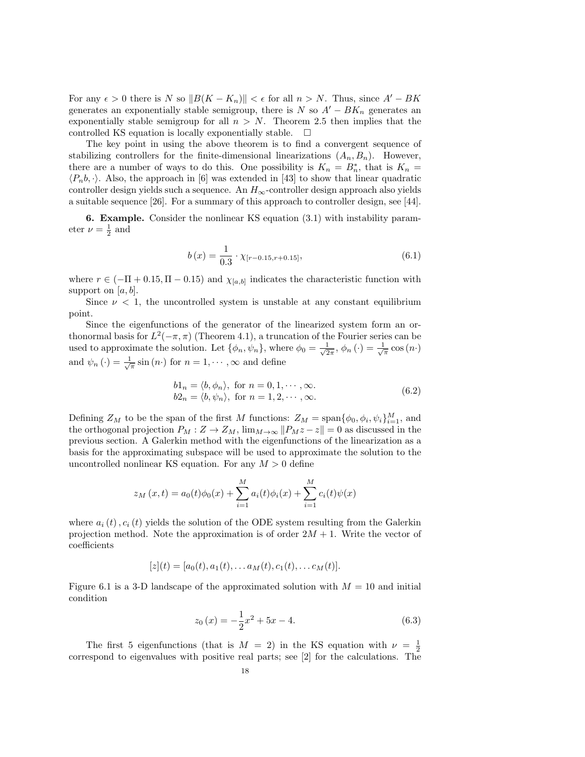For any  $\epsilon > 0$  there is N so  $||B(K - K_n)|| < \epsilon$  for all  $n > N$ . Thus, since  $A' - BK$ generates an exponentially stable semigroup, there is N so  $A' - BK_n$  generates an exponentially stable semigroup for all  $n > N$ . Theorem 2.5 then implies that the controlled KS equation is locally exponentially stable.  $\Box$ 

The key point in using the above theorem is to find a convergent sequence of stabilizing controllers for the finite-dimensional linearizations  $(A_n, B_n)$ . However, there are a number of ways to do this. One possibility is  $K_n = B_n^*$ , that is  $K_n =$  $\langle P_n, \cdot \rangle$ . Also, the approach in [6] was extended in [43] to show that linear quadratic controller design yields such a sequence. An  $H_{\infty}$ -controller design approach also yields a suitable sequence [26]. For a summary of this approach to controller design, see [44].

6. Example. Consider the nonlinear KS equation (3.1) with instability parameter  $\nu = \frac{1}{2}$  and

$$
b(x) = \frac{1}{0.3} \cdot \chi_{[r-0.15,r+0.15]},
$$
\n(6.1)

where  $r \in (-\Pi + 0.15, \Pi - 0.15)$  and  $\chi_{[a,b]}$  indicates the characteristic function with support on  $[a, b]$ .

Since  $\nu < 1$ , the uncontrolled system is unstable at any constant equilibrium point.

Since the eigenfunctions of the generator of the linearized system form an orthonormal basis for  $L^2(-\pi, \pi)$  (Theorem 4.1), a truncation of the Fourier series can be used to approximate the solution. Let  $\{\phi_n, \psi_n\}$ , where  $\phi_0 = \frac{1}{\sqrt{2}}$  $\frac{1}{2\pi}$ ,  $\phi_n(\cdot) = \frac{1}{\sqrt{\pi}} \cos(n\cdot)$ and  $\psi_n(\cdot) = \frac{1}{\sqrt{\pi}} \sin(n\cdot)$  for  $n = 1, \dots, \infty$  and define

$$
b1_n = \langle b, \phi_n \rangle, \text{ for } n = 0, 1, \dots, \infty.
$$
  
\n
$$
b2_n = \langle b, \psi_n \rangle, \text{ for } n = 1, 2, \dots, \infty.
$$
  
\n(6.2)

Defining  $Z_M$  to be the span of the first M functions:  $Z_M = \text{span}\{\phi_0, \phi_i, \psi_i\}_{i=1}^M$ , and the orthogonal projection  $P_M : Z \to Z_M$ ,  $\lim_{M \to \infty} ||P_Mz - z|| = 0$  as discussed in the previous section. A Galerkin method with the eigenfunctions of the linearization as a basis for the approximating subspace will be used to approximate the solution to the uncontrolled nonlinear KS equation. For any  $M > 0$  define

$$
z_M(x,t) = a_0(t)\phi_0(x) + \sum_{i=1}^M a_i(t)\phi_i(x) + \sum_{i=1}^M c_i(t)\psi(x)
$$

where  $a_i(t)$ ,  $c_i(t)$  yields the solution of the ODE system resulting from the Galerkin projection method. Note the approximation is of order  $2M + 1$ . Write the vector of coefficients

$$
[z](t) = [a_0(t), a_1(t), \dots a_M(t), c_1(t), \dots c_M(t)].
$$

Figure 6.1 is a 3-D landscape of the approximated solution with  $M = 10$  and initial condition

$$
z_0(x) = -\frac{1}{2}x^2 + 5x - 4.
$$
 (6.3)

The first 5 eigenfunctions (that is  $M = 2$ ) in the KS equation with  $\nu = \frac{1}{2}$ correspond to eigenvalues with positive real parts; see [2] for the calculations. The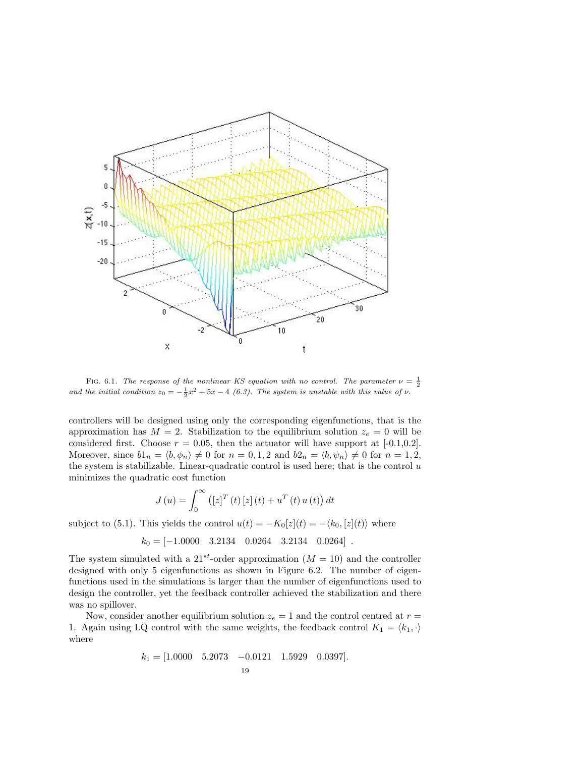

FIG. 6.1. The response of the nonlinear KS equation with no control. The parameter  $\nu = \frac{1}{2}$ and the initial condition  $z_0 = -\frac{1}{2}x^2 + 5x - 4$  (6.3). The system is unstable with this value of  $\nu$ .

controllers will be designed using only the corresponding eigenfunctions, that is the approximation has  $M = 2$ . Stabilization to the equilibrium solution  $z_e = 0$  will be considered first. Choose  $r = 0.05$ , then the actuator will have support at [-0.1,0.2]. Moreover, since  $b1_n = \langle b, \phi_n \rangle \neq 0$  for  $n = 0, 1, 2$  and  $b2_n = \langle b, \psi_n \rangle \neq 0$  for  $n = 1, 2$ , the system is stabilizable. Linear-quadratic control is used here; that is the control  $u$ minimizes the quadratic cost function

$$
J(u) = \int_0^{\infty} ([z]^T (t) [z] (t) + u^T (t) u (t)) dt
$$

subject to (5.1). This yields the control  $u(t) = -K_0[z](t) = -\langle k_0, [z](t) \rangle$  where

$$
k_0 = [-1.0000 \quad 3.2134 \quad 0.0264 \quad 3.2134 \quad 0.0264].
$$

The system simulated with a 21<sup>st</sup>-order approximation  $(M = 10)$  and the controller designed with only 5 eigenfunctions as shown in Figure 6.2. The number of eigenfunctions used in the simulations is larger than the number of eigenfunctions used to design the controller, yet the feedback controller achieved the stabilization and there was no spillover.

Now, consider another equilibrium solution  $z_e = 1$  and the control centred at  $r =$ 1. Again using LQ control with the same weights, the feedback control  $K_1 = \langle k_1, \cdot \rangle$ where

$$
k_1 = [1.0000 \quad 5.2073 \quad -0.0121 \quad 1.5929 \quad 0.0397].
$$
  
19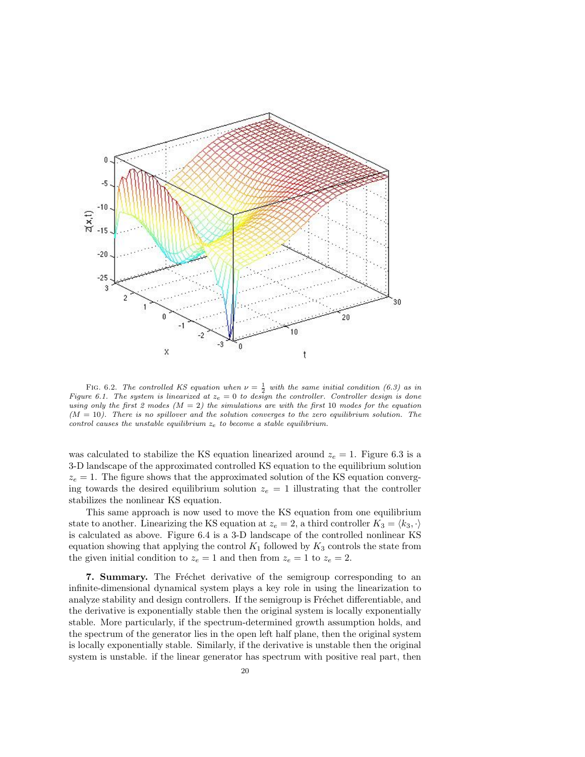

FIG. 6.2. The controlled KS equation when  $\nu = \frac{1}{2}$  with the same initial condition (6.3) as in Figure 6.1. The system is linearized at  $z_e = 0$  to design the controller. Controller design is done using only the first 2 modes  $(M = 2)$  the simulations are with the first 10 modes for the equation  $(M = 10)$ . There is no spillover and the solution converges to the zero equilibrium solution. The control causes the unstable equilibrium  $z_e$  to become a stable equilibrium.

was calculated to stabilize the KS equation linearized around  $z_e = 1$ . Figure 6.3 is a 3-D landscape of the approximated controlled KS equation to the equilibrium solution  $z_e = 1$ . The figure shows that the approximated solution of the KS equation converging towards the desired equilibrium solution  $z_e = 1$  illustrating that the controller stabilizes the nonlinear KS equation.

This same approach is now used to move the KS equation from one equilibrium state to another. Linearizing the KS equation at  $z_e = 2$ , a third controller  $K_3 = \langle k_3, \cdot \rangle$ is calculated as above. Figure 6.4 is a 3-D landscape of the controlled nonlinear KS equation showing that applying the control  $K_1$  followed by  $K_3$  controls the state from the given initial condition to  $z_e = 1$  and then from  $z_e = 1$  to  $z_e = 2$ .

7. Summary. The Fréchet derivative of the semigroup corresponding to an infinite-dimensional dynamical system plays a key role in using the linearization to analyze stability and design controllers. If the semigroup is Fréchet differentiable, and the derivative is exponentially stable then the original system is locally exponentially stable. More particularly, if the spectrum-determined growth assumption holds, and the spectrum of the generator lies in the open left half plane, then the original system is locally exponentially stable. Similarly, if the derivative is unstable then the original system is unstable. if the linear generator has spectrum with positive real part, then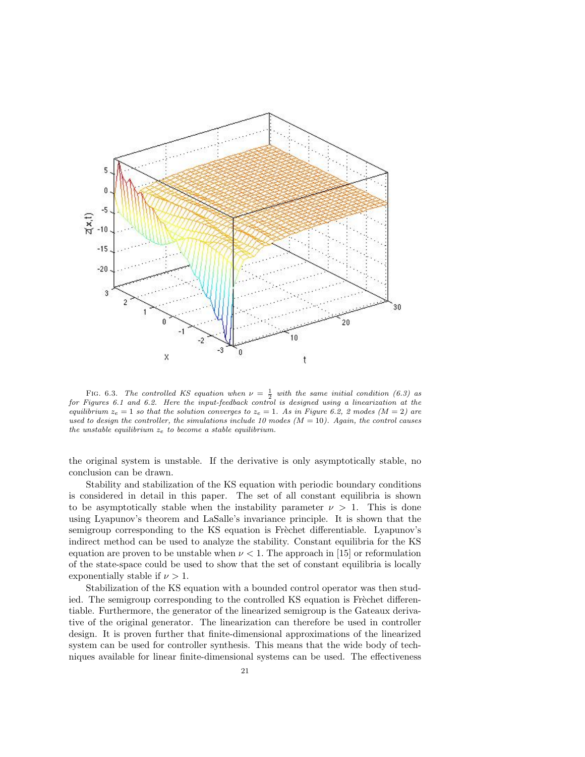

FIG. 6.3. The controlled KS equation when  $\nu = \frac{1}{2}$  with the same initial condition (6.3) as for Figures 6.1 and 6.2. Here the input-feedback control is designed using a linearization at the equilibrium  $z_e = 1$  so that the solution converges to  $z_e = 1$ . As in Figure 6.2, 2 modes (M = 2) are used to design the controller, the simulations include 10 modes  $(M = 10)$ . Again, the control causes the unstable equilibrium  $z_e$  to become a stable equilibrium.

the original system is unstable. If the derivative is only asymptotically stable, no conclusion can be drawn.

Stability and stabilization of the KS equation with periodic boundary conditions is considered in detail in this paper. The set of all constant equilibria is shown to be asymptotically stable when the instability parameter  $\nu > 1$ . This is done using Lyapunov's theorem and LaSalle's invariance principle. It is shown that the semigroup corresponding to the KS equation is Frèchet differentiable. Lyapunov's indirect method can be used to analyze the stability. Constant equilibria for the KS equation are proven to be unstable when  $\nu < 1$ . The approach in [15] or reformulation of the state-space could be used to show that the set of constant equilibria is locally exponentially stable if  $\nu > 1$ .

Stabilization of the KS equation with a bounded control operator was then studied. The semigroup corresponding to the controlled KS equation is Freehet differentiable. Furthermore, the generator of the linearized semigroup is the Gateaux derivative of the original generator. The linearization can therefore be used in controller design. It is proven further that finite-dimensional approximations of the linearized system can be used for controller synthesis. This means that the wide body of techniques available for linear finite-dimensional systems can be used. The effectiveness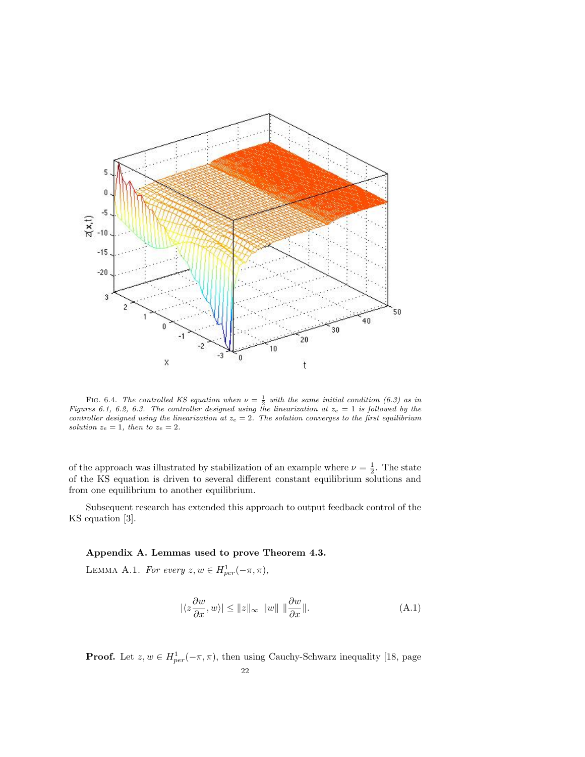

FIG. 6.4. The controlled KS equation when  $\nu = \frac{1}{2}$  with the same initial condition (6.3) as in Figures 6.1, 6.2, 6.3. The controller designed using the linearization at  $z_e = 1$  is followed by the controller designed using the linearization at  $z_e = 2$ . The solution converges to the first equilibrium solution  $z_e = 1$ , then to  $z_e = 2$ .

of the approach was illustrated by stabilization of an example where  $\nu = \frac{1}{2}$ . The state of the KS equation is driven to several different constant equilibrium solutions and from one equilibrium to another equilibrium.

Subsequent research has extended this approach to output feedback control of the KS equation [3].

## Appendix A. Lemmas used to prove Theorem 4.3.

LEMMA A.1. For every  $z, w \in H_{per}^1(-\pi, \pi)$ ,

$$
|\langle z \frac{\partial w}{\partial x}, w \rangle| \le ||z||_{\infty} ||w|| || \frac{\partial w}{\partial x} ||. \tag{A.1}
$$

**Proof.** Let  $z, w \in H_{per}^1(-\pi, \pi)$ , then using Cauchy-Schwarz inequality [18, page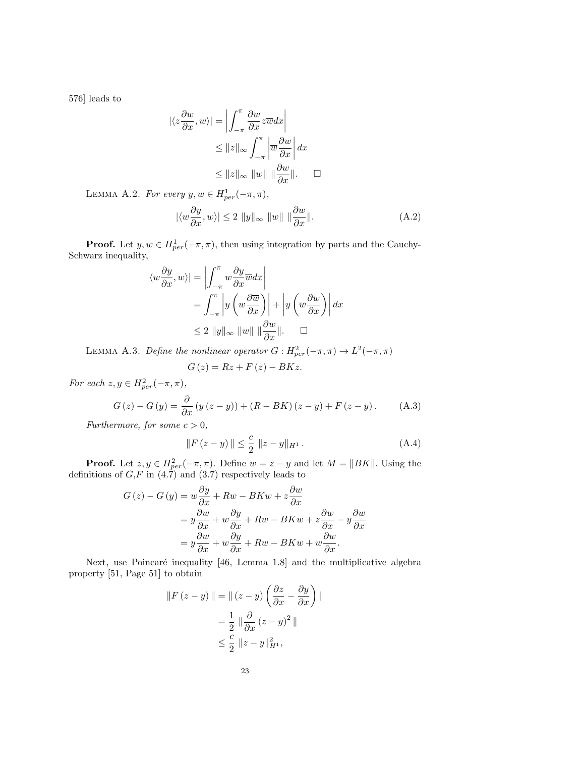576] leads to

$$
|\langle z \frac{\partial w}{\partial x}, w \rangle| = \left| \int_{-\pi}^{\pi} \frac{\partial w}{\partial x} z \overline{w} dx \right|
$$
  
\n
$$
\leq ||z||_{\infty} \int_{-\pi}^{\pi} \left| \overline{w} \frac{\partial w}{\partial x} \right| dx
$$
  
\n
$$
\leq ||z||_{\infty} ||w|| || \frac{\partial w}{\partial x} ||. \quad \Box
$$

LEMMA A.2. For every  $y, w \in H_{per}^1(-\pi, \pi)$ ,

$$
|\langle w \frac{\partial y}{\partial x}, w \rangle| \le 2 \|y\|_{\infty} \|w\| \|\frac{\partial w}{\partial x}\|.
$$
 (A.2)

**Proof.** Let  $y, w \in H_{per}^1(-\pi, \pi)$ , then using integration by parts and the Cauchy-Schwarz inequality,

$$
\begin{aligned} |\langle w \frac{\partial y}{\partial x}, w \rangle| &= \left| \int_{-\pi}^{\pi} w \frac{\partial y}{\partial x} \overline{w} dx \right| \\ &= \int_{-\pi}^{\pi} \left| y \left( w \frac{\partial \overline{w}}{\partial x} \right) \right| + \left| y \left( \overline{w} \frac{\partial w}{\partial x} \right) \right| dx \\ &\leq 2 \left\| y \right\|_{\infty} \left\| w \right\| \left\| \frac{\partial w}{\partial x} \right\|. \quad \Box \end{aligned}
$$

LEMMA A.3. Define the nonlinear operator  $G: H_{per}^2(-\pi, \pi) \to L^2(-\pi, \pi)$ 

$$
G\left(z\right) = Rz + F\left(z\right) - BKz.
$$

For each  $z, y \in H_{per}^2(-\pi, \pi)$ ,

$$
G(z) - G(y) = \frac{\partial}{\partial x} (y (z - y)) + (R - BK) (z - y) + F(z - y). \tag{A.3}
$$

Furthermore, for some  $c > 0$ ,

$$
||F(z - y)|| \leq \frac{c}{2} ||z - y||_{H^{1}}.
$$
\n(A.4)

**Proof.** Let  $z, y \in H_{per}^2(-\pi, \pi)$ . Define  $w = z - y$  and let  $M = ||BK||$ . Using the definitions of  $G, F$  in (4.7) and (3.7) respectively leads to

$$
G(z) - G(y) = w \frac{\partial y}{\partial x} + Rw - BKw + z \frac{\partial w}{\partial x}
$$
  
=  $y \frac{\partial w}{\partial x} + w \frac{\partial y}{\partial x} + Rw - BKw + z \frac{\partial w}{\partial x} - y \frac{\partial w}{\partial x}$   
=  $y \frac{\partial w}{\partial x} + w \frac{\partial y}{\partial x} + Rw - BKw + w \frac{\partial w}{\partial x}.$ 

Next, use Poincaré inequality [46, Lemma 1.8] and the multiplicative algebra property [51, Page 51] to obtain

$$
||F(z - y)|| = ||(z - y)\left(\frac{\partial z}{\partial x} - \frac{\partial y}{\partial x}\right)||
$$

$$
= \frac{1}{2} ||\frac{\partial}{\partial x}(z - y)^2||
$$

$$
\leq \frac{c}{2} ||z - y||_{H^1}^2,
$$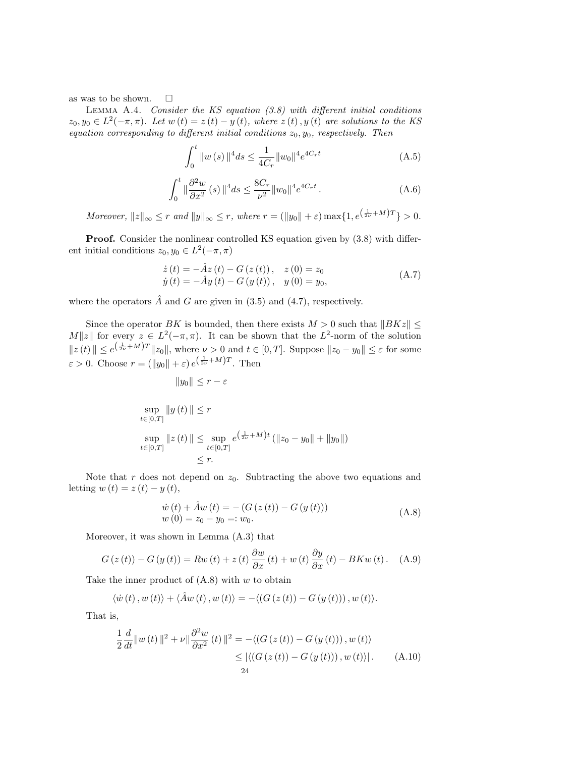as was to be shown.  $\square$ 

LEMMA A.4. Consider the KS equation  $(3.8)$  with different initial conditions  $z_0, y_0 \in L^2(-\pi, \pi)$ . Let  $w(t) = z(t) - y(t)$ , where  $z(t), y(t)$  are solutions to the KS equation corresponding to different initial conditions  $z_0, y_0$ , respectively. Then

$$
\int_0^t \|w(s)\|^4 ds \le \frac{1}{4C_r} \|w_0\|^4 e^{4C_r t} \tag{A.5}
$$

$$
\int_0^t \|\frac{\partial^2 w}{\partial x^2}(s)\|^4 ds \le \frac{8C_r}{\nu^2} \|w_0\|^4 e^{4C_r t} \,. \tag{A.6}
$$

Moreover,  $||z||_{\infty} \leq r$  and  $||y||_{\infty} \leq r$ , where  $r = (||y_0|| + \varepsilon) \max\{1, e^{(\frac{1}{2\nu} + M)T}\} > 0$ .

Proof. Consider the nonlinear controlled KS equation given by  $(3.8)$  with different initial conditions  $z_0, y_0 \in L^2(-\pi, \pi)$ 

$$
\begin{aligned} \dot{z}(t) &= -\hat{A}z(t) - G(z(t)), & z(0) &= z_0\\ \dot{y}(t) &= -\hat{A}y(t) - G(y(t)), & y(0) &= y_0, \end{aligned} \tag{A.7}
$$

where the operators  $\hat{A}$  and  $G$  are given in (3.5) and (4.7), respectively.

Since the operator BK is bounded, then there exists  $M > 0$  such that  $||BKz|| \leq$ M||z|| for every  $z \in L^2(-\pi, \pi)$ . It can be shown that the  $L^2$ -norm of the solution  $||z(t)|| \leq e^{(\frac{1}{2\nu}+M)T}||z_0||$ , where  $\nu > 0$  and  $t \in [0,T]$ . Suppose  $||z_0 - y_0|| \leq \varepsilon$  for some  $\varepsilon > 0$ . Choose  $r = (\|y_0\| + \varepsilon) e^{(\frac{1}{2\nu} + M)T}$ . Then

$$
||y_0|| \le r - \varepsilon
$$
  
\n
$$
\sup_{t \in [0,T]} ||y(t)|| \le r
$$
  
\n
$$
\sup_{t \in [0,T]} ||z(t)|| \le \sup_{t \in [0,T]} e^{\left(\frac{1}{2\nu} + M\right)t} (||z_0 - y_0|| + ||y_0||)
$$
  
\n
$$
\le r.
$$

Note that r does not depend on  $z_0$ . Subtracting the above two equations and letting  $w(t) = z(t) - y(t)$ ,

$$
\dot{w}(t) + \hat{A}w(t) = -(G(z(t)) - G(y(t)))
$$
\n
$$
w(0) = z_0 - y_0 =: w_0.
$$
\n(A.8)

Moreover, it was shown in Lemma (A.3) that

$$
G(z(t)) - G(y(t)) = Rw(t) + z(t)\frac{\partial w}{\partial x}(t) + w(t)\frac{\partial y}{\partial x}(t) - BKw(t).
$$
 (A.9)

Take the inner product of  $(A.8)$  with w to obtain

$$
\langle \dot{w}(t), w(t) \rangle + \langle \hat{A}w(t), w(t) \rangle = - \langle (G(z(t)) - G(y(t))), w(t) \rangle.
$$

That is,

$$
\frac{1}{2}\frac{d}{dt}\|w(t)\|^2 + \nu\|\frac{\partial^2 w}{\partial x^2}(t)\|^2 = -\langle\left(G(z(t)) - G(y(t))\right), w(t)\rangle
$$
  
\n
$$
\leq \left|\langle\left(G(z(t)) - G(y(t))\right), w(t)\rangle\right|. \tag{A.10}
$$
  
\n
$$
24
$$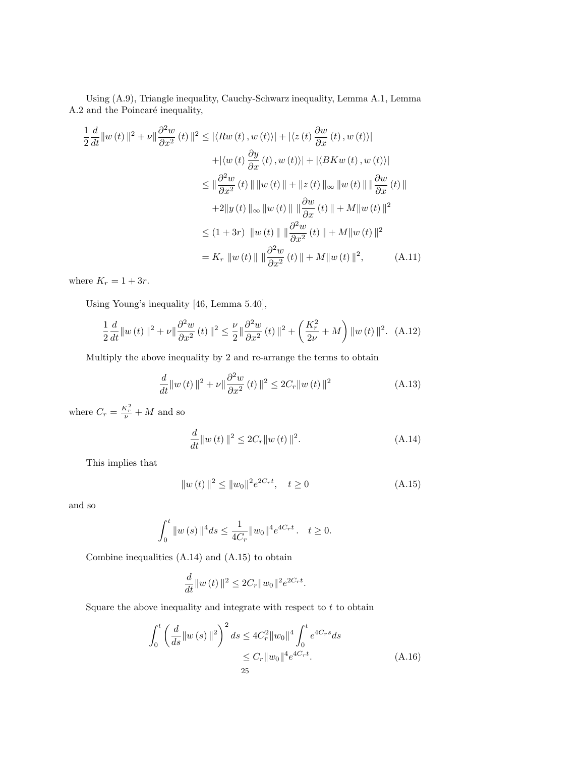Using (A.9), Triangle inequality, Cauchy-Schwarz inequality, Lemma A.1, Lemma A.2 and the Poincaré inequality,

$$
\frac{1}{2} \frac{d}{dt} ||w(t)||^2 + \nu ||\frac{\partial^2 w}{\partial x^2}(t) ||^2 \le |\langle Rw(t), w(t) \rangle| + |\langle z(t) \frac{\partial w}{\partial x}(t), w(t) \rangle|
$$
  
\n
$$
+ |\langle w(t) \frac{\partial y}{\partial x}(t), w(t) \rangle| + |\langle BKw(t), w(t) \rangle|
$$
  
\n
$$
\le ||\frac{\partial^2 w}{\partial x^2}(t) || ||w(t)|| + ||z(t)||_{\infty} ||w(t) || ||\frac{\partial w}{\partial x}(t) ||
$$
  
\n
$$
+ 2||y(t)||_{\infty} ||w(t) || ||\frac{\partial w}{\partial x}(t) || + M||w(t) ||^2
$$
  
\n
$$
\le (1 + 3r) ||w(t)|| ||\frac{\partial^2 w}{\partial x^2}(t) || + M||w(t) ||^2
$$
  
\n
$$
= K_r ||w(t)|| ||\frac{\partial^2 w}{\partial x^2}(t) || + M||w(t) ||^2,
$$
 (A.11)

where  $K_r = 1 + 3r$ .

Using Young's inequality [46, Lemma 5.40],

$$
\frac{1}{2}\frac{d}{dt}\|w(t)\|^2 + \nu\|\frac{\partial^2 w}{\partial x^2}(t)\|^2 \le \frac{\nu}{2}\|\frac{\partial^2 w}{\partial x^2}(t)\|^2 + \left(\frac{K_r^2}{2\nu} + M\right)\|w(t)\|^2. \tag{A.12}
$$

Multiply the above inequality by 2 and re-arrange the terms to obtain

$$
\frac{d}{dt} \|w(t)\|^2 + \nu \|\frac{\partial^2 w}{\partial x^2}(t)\|^2 \le 2C_r \|w(t)\|^2 \tag{A.13}
$$

where  $C_r = \frac{K_r^2}{\nu} + M$  and so

$$
\frac{d}{dt}||w(t)||^2 \le 2C_r||w(t)||^2.
$$
\n(A.14)

This implies that

$$
||w(t)||^2 \le ||w_0||^2 e^{2C_r t}, \quad t \ge 0
$$
\n(A.15)

and so

$$
\int_0^t \|w(s)\|^4 ds \le \frac{1}{4C_r} \|w_0\|^4 e^{4C_r t}. \quad t \ge 0.
$$

Combine inequalities (A.14) and (A.15) to obtain

$$
\frac{d}{dt}||w(t)||^2 \le 2C_r||w_0||^2 e^{2C_r t}.
$$

Square the above inequality and integrate with respect to  $t$  to obtain

$$
\int_{0}^{t} \left(\frac{d}{ds} \|w(s)\|^{2}\right)^{2} ds \le 4C_{r}^{2} \|w_{0}\|^{4} \int_{0}^{t} e^{4C_{r}s} ds
$$

$$
\le C_{r} \|w_{0}\|^{4} e^{4C_{r}t}.
$$
(A.16)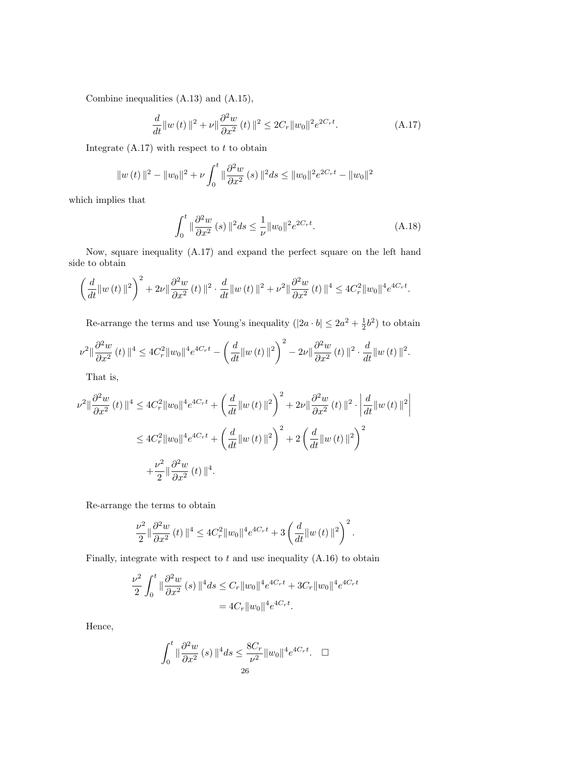Combine inequalities (A.13) and (A.15),

$$
\frac{d}{dt} \|w(t)\|^2 + \nu \|\frac{\partial^2 w}{\partial x^2}(t)\|^2 \le 2C_r \|w_0\|^2 e^{2C_r t}.\tag{A.17}
$$

Integrate  $(A.17)$  with respect to t to obtain

$$
||w(t)||^{2} - ||w_{0}||^{2} + \nu \int_{0}^{t} ||\frac{\partial^{2} w}{\partial x^{2}}(s)||^{2} ds \leq ||w_{0}||^{2} e^{2C_{r}t} - ||w_{0}||^{2}
$$

which implies that

$$
\int_0^t \|\frac{\partial^2 w}{\partial x^2}(s)\|^2 ds \le \frac{1}{\nu} \|w_0\|^2 e^{2C_r t}.
$$
 (A.18)

Now, square inequality (A.17) and expand the perfect square on the left hand side to obtain

$$
\left(\frac{d}{dt}\|w(t)\|^2\right)^2 + 2\nu\|\frac{\partial^2 w}{\partial x^2}(t)\|^2 \cdot \frac{d}{dt}\|w(t)\|^2 + \nu^2\|\frac{\partial^2 w}{\partial x^2}(t)\|^4 \le 4C_r^2\|w_0\|^4 e^{4C_r t}.
$$

Re-arrange the terms and use Young's inequality  $(|2a \cdot b| \leq 2a^2 + \frac{1}{2}b^2)$  to obtain

$$
\nu^{2} \|\frac{\partial^{2} w}{\partial x^{2}}(t)\|^{4} \leq 4C_{r}^{2} \|w_{0}\|^{4} e^{4C_{r}t} - \left(\frac{d}{dt} \|w(t)\|^{2}\right)^{2} - 2\nu \|\frac{\partial^{2} w}{\partial x^{2}}(t)\|^{2} \cdot \frac{d}{dt} \|w(t)\|^{2}.
$$

That is,

$$
\nu^{2} \|\frac{\partial^{2} w}{\partial x^{2}}(t)\|^{4} \leq 4C_{r}^{2} \|w_{0}\|^{4} e^{4C_{r}t} + \left(\frac{d}{dt} \|w(t)\|^{2}\right)^{2} + 2\nu \|\frac{\partial^{2} w}{\partial x^{2}}(t)\|^{2} \cdot \left|\frac{d}{dt} \|w(t)\|^{2}\right|^{2}
$$
  

$$
\leq 4C_{r}^{2} \|w_{0}\|^{4} e^{4C_{r}t} + \left(\frac{d}{dt} \|w(t)\|^{2}\right)^{2} + 2\left(\frac{d}{dt} \|w(t)\|^{2}\right)^{2}
$$
  

$$
+ \frac{\nu^{2}}{2} \|\frac{\partial^{2} w}{\partial x^{2}}(t)\|^{4}.
$$

Re-arrange the terms to obtain

$$
\frac{\nu^2}{2} \|\frac{\partial^2 w}{\partial x^2}(t)\|^4 \le 4C_r^2 \|w_0\|^4 e^{4C_r t} + 3\left(\frac{d}{dt} \|w(t)\|^2\right)^2.
$$

Finally, integrate with respect to  $t$  and use inequality  $(A.16)$  to obtain

$$
\frac{\nu^2}{2} \int_0^t \|\frac{\partial^2 w}{\partial x^2}(s)\|^4 ds \le C_r \|w_0\|^4 e^{4C_r t} + 3C_r \|w_0\|^4 e^{4C_r t}
$$

$$
= 4C_r \|w_0\|^4 e^{4C_r t}.
$$

Hence,

$$
\int_0^t \|\frac{\partial^2 w}{\partial x^2}(s)\|^4 ds \le \frac{8C_r}{\nu^2} \|w_0\|^4 e^{4C_r t}.\quad \Box
$$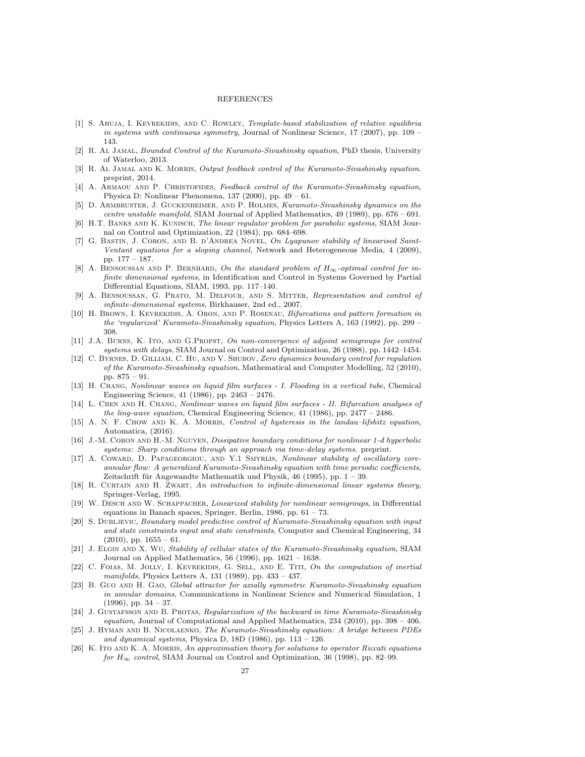## **REFERENCES**

- [1] S. AHUJA, I. KEVREKIDIS, AND C. ROWLEY, Template-based stabilization of relative equilibria in systems with continuous symmetry, Journal of Nonlinear Science, 17 (2007), pp. 109 – 143.
- [2] R. Al Jamal, Bounded Control of the Kuramoto-Sivashinsky equation, PhD thesis, University of Waterloo, 2013.
- [3] R. AL JAMAL AND K. MORRIS, Output feedback control of the Kuramoto-Sivashinsky equation. preprint, 2014.
- [4] A. ARMAOU AND P. CHRISTOFIDES, Feedback control of the Kuramoto-Sivashinsky equation, Physica D: Nonlinear Phenomena, 137 (2000), pp. 49 – 61.
- [5] D. Armbruster, J. Guckenheimer, and P. Holmes, Kuramoto-Sivashinsky dynamics on the centre unstable manifold, SIAM Journal of Applied Mathematics, 49 (1989), pp. 676 – 691.
- [6] H.T. BANKS AND K. KUNISCH, The linear regulator problem for parabolic systems, SIAM Journal on Control and Optimization, 22 (1984), pp. 684–698.
- [7] G. BASTIN, J. CORON, AND B. D'ANDREA NOVEL, On Lyapunov stability of linearised Saint-Ventant equations for a sloping channel, Network and Heterogeneous Media, 4 (2009), pp. 177 – 187.
- [8] A. BENSOUSSAN AND P. BERNHARD, On the standard problem of  $H_{\infty}$ -optimal control for infinite dimensional systems, in Identification and Control in Systems Governed by Partial Differential Equations, SIAM, 1993, pp. 117–140.
- [9] A. Bensoussan, G. Prato, M. Delfour, and S. Mitter, Representation and control of infinite-dimensional systems, Birkhauser, 2nd ed., 2007.
- [10] H. BROWN, I. KEVREKIDIS, A. ORON, AND P. ROSENAU, Bifurcations and pattern formation in the 'regularized' Kuramoto-Sivashinsky equation, Physics Letters A, 163 (1992), pp. 299 – 308.
- [11] J.A. BURNS, K. ITO, AND G.PROPST, On non-convergence of adjoint semigroups for control systems with delays, SIAM Journal on Control and Optimization, 26 (1988), pp. 1442–1454.
- [12] C. BYRNES, D. GILLIAM, C. HU, AND V. SHUBOV, Zero dynamics boundary control for regulation of the Kuramoto-Sivashinsky equation, Mathematical and Computer Modelling, 52 (2010), pp. 875 – 91.
- [13] H. Chang, Nonlinear waves on liquid film surfaces I. Flooding in a vertical tube, Chemical Engineering Science, 41 (1986), pp. 2463 – 2476.
- [14] L. Chen and H. Chang, Nonlinear waves on liquid film surfaces II. Bifurcation analyses of the ling-wave equation, Chemical Engineering Science, 41 (1986), pp. 2477 – 2486.
- [15] A. N. F. CHOW AND K. A. MORRIS, *Control of hysteresis in the landau–lifshitz equation*, Automatica, (2016).
- [16] J.-M. CORON AND H.-M. NGUYEN, *Dissipative boundary conditions for nonlinear 1-d hyperbolic* systems: Sharp conditions through an approach via time-delay systems. preprint.
- [17] A. COWARD, D. PAPAGEORGIOU, AND Y.1 SMYRLIS, Nonlinear stability of oscillatory coreannular flow: A generalized Kuramoto-Sivashinsky equation with time periodic coefficients, Zeitschrift für Angewandte Mathematik und Physik, 46 (1995), pp.  $1 - 39$ .
- [18] R. Curtain and H. Zwart, An introduction to infinite-dimensional linear systems theory, Springer-Verlag, 1995.
- [19] W. DESCH AND W. SCHAPPACHER, Linearized stability for nonlinear semigroups, in Differential equations in Banach spaces, Springer, Berlin, 1986, pp. 61 – 73.
- [20] S. DUBLJEVIC, Boundary model predictive control of Kuramoto-Sivashinsky equation with input and state constraints input and state constraints, Computer and Chemical Engineering, 34  $(2010)$ , pp.  $1655 - 61$ .
- [21] J. Elgin and X. Wu, Stability of cellular states of the Kuramoto-Sivashinsky equation, SIAM Journal on Applied Mathematics, 56 (1996), pp. 1621 – 1638.
- [22] C. FOIAS, M. JOLLY, I. KEVREKIDIS, G. SELL, AND E. TITI, On the computation of inertial manifolds, Physics Letters A, 131 (1989), pp. 433 – 437.
- [23] B. Guo and H. Gao, Global attractor for axially symmetric Kuramoto-Sivashinsky equation in annular domains, Communications in Nonlinear Science and Numerical Simulation, 1 (1996), pp. 34 – 37.
- [24] J. GUSTAFSSON AND B. PROTAS, Regularization of the backward in time Kuramoto-Sivashinsky equation, Journal of Computational and Applied Mathematics, 234 (2010), pp. 398 – 406.
- [25] J. Hyman and B. Nicolaenko, The Kuramoto-Sivashinsky equation: A bridge between PDEs and dynamical systems, Physica D, 18D (1986), pp. 113 – 126.
- [26] K. ITO AND K. A. MORRIS, An approximation theory for solutions to operator Riccati equations for  $H_{\infty}$  control, SIAM Journal on Control and Optimization, 36 (1998), pp. 82–99.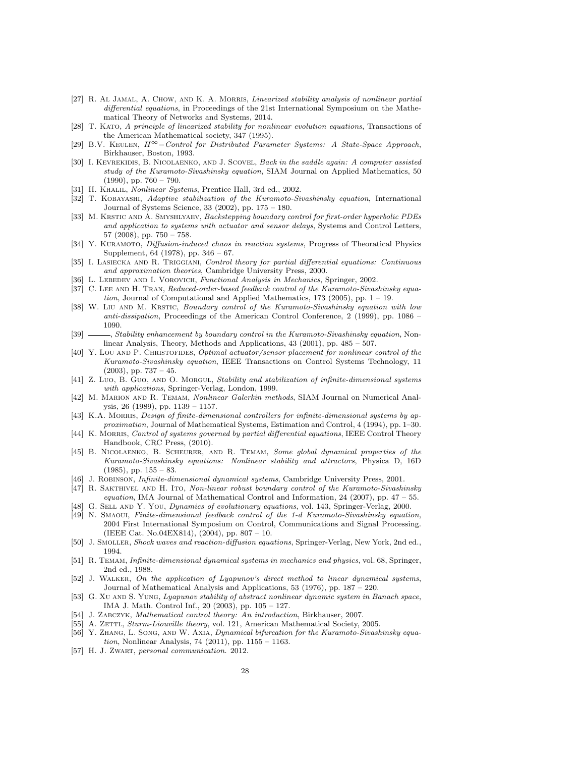- [27] R. AL JAMAL, A. CHOW, AND K. A. MORRIS, *Linearized stability analysis of nonlinear partial* differential equations, in Proceedings of the 21st International Symposium on the Mathematical Theory of Networks and Systems, 2014.
- [28] T. Kato, A principle of linearized stability for nonlinear evolution equations, Transactions of the American Mathematical society, 347 (1995).
- [29] B.V. Keulen, H∞−Control for Distributed Parameter Systems: A State-Space Approach, Birkhauser, Boston, 1993.
- [30] I. KEVREKIDIS, B. NICOLAENKO, AND J. SCOVEL, Back in the saddle again: A computer assisted study of the Kuramoto-Sivashinsky equation, SIAM Journal on Applied Mathematics, 50  $(1990)$ , pp.  $760 - 790$ .
- [31] H. KHALIL, *Nonlinear Systems*, Prentice Hall, 3rd ed., 2002.
- [32] T. Kobayashi, Adaptive stabilization of the Kuramoto-Sivashinsky equation, International Journal of Systems Science, 33 (2002), pp. 175 – 180.
- [33] M. KRSTIC AND A. SMYSHLYAEV, Backstepping boundary control for first-order hyperbolic PDEs and application to systems with actuator and sensor delays, Systems and Control Letters, 57 (2008), pp. 750 – 758.
- [34] Y. KURAMOTO, *Diffusion-induced chaos in reaction systems*, Progress of Theoratical Physics Supplement, 64 (1978), pp. 346 – 67.
- [35] I. LASIECKA AND R. TRIGGIANI, Control theory for partial differential equations: Continuous and approximation theories, Cambridge University Press, 2000.
- [36] L. LEBEDEV AND I. VOROVICH, Functional Analysis in Mechanics, Springer, 2002.
- [37] C. LEE AND H. TRAN, Reduced-order-based feedback control of the Kuramoto-Sivashinsky equation, Journal of Computational and Applied Mathematics, 173 (2005), pp.  $1 - 19$ .
- [38] W. Liu AND M. KRSTIC, Boundary control of the Kuramoto-Sivashinsky equation with low anti-dissipation, Proceedings of the American Control Conference, 2 (1999), pp. 1086 – 1090.
- [39]  $\longrightarrow$ , Stability enhancement by boundary control in the Kuramoto-Sivashinsky equation, Nonlinear Analysis, Theory, Methods and Applications, 43 (2001), pp. 485 – 507.
- [40] Y. LOU AND P. CHRISTOFIDES, *Optimal actuator/sensor placement for nonlinear control of the* Kuramoto-Sivashinsky equation, IEEE Transactions on Control Systems Technology, 11  $(2003)$ , pp.  $737 - 45$ .
- [41] Z. Luo, B. Guo, AND O. MORGUL, Stability and stabilization of infinite-dimensional systems with applications, Springer-Verlag, London, 1999.
- [42] M. Marion and R. Temam, Nonlinear Galerkin methods, SIAM Journal on Numerical Analysis, 26 (1989), pp. 1139 – 1157.
- [43] K.A. MORRIS, *Design of finite-dimensional controllers for infinite-dimensional systems by ap*proximation, Journal of Mathematical Systems, Estimation and Control, 4 (1994), pp. 1–30.
- [44] K. MORRIS, Control of systems governed by partial differential equations, IEEE Control Theory Handbook, CRC Press, (2010).
- [45] B. Nicolaenko, B. Scheurer, and R. Temam, Some global dynamical properties of the Kuramoto-Sivashinsky equations: Nonlinear stability and attractors, Physica D, 16D  $(1985)$ , pp.  $155 - 83$ .
- [46] J. ROBINSON, *Infinite-dimensional dynamical systems*, Cambridge University Press, 2001.
- [47] R. SAKTHIVEL AND H. ITO, Non-linear robust boundary control of the Kuramoto-Sivashinsky equation, IMA Journal of Mathematical Control and Information, 24 (2007), pp. 47 – 55.
- [48] G. SELL AND Y. YOU, Dynamics of evolutionary equations, vol. 143, Springer-Verlag, 2000.
- [49] N. Smaoui, Finite-dimensional feedback control of the 1-d Kuramoto-Sivashinsky equation, 2004 First International Symposium on Control, Communications and Signal Processing. (IEEE Cat. No.04EX814), (2004), pp. 807 – 10.
- [50] J. Smoller, Shock waves and reaction-diffusion equations, Springer-Verlag, New York, 2nd ed., 1994.
- [51] R. Temam, Infinite-dimensional dynamical systems in mechanics and physics, vol. 68, Springer, 2nd ed., 1988.
- [52] J. WALKER, On the application of Lyapunov's direct method to linear dynamical systems, Journal of Mathematical Analysis and Applications, 53 (1976), pp. 187 – 220.
- [53] G. XU AND S. YUNG, Lyapunov stability of abstract nonlinear dynamic system in Banach space, IMA J. Math. Control Inf., 20 (2003), pp. 105 – 127.
- [54] J. Zabczyk, Mathematical control theory: An introduction, Birkhauser, 2007.
- [55] A. ZETTL, Sturm-Liouville theory, vol. 121, American Mathematical Society, 2005.
- [56] Y. ZHANG, L. SONG, AND W. AXIA, Dynamical bifurcation for the Kuramoto-Sivashinsky equation, Nonlinear Analysis, 74 (2011), pp. 1155 – 1163.
- [57] H. J. ZWART, personal communication. 2012.